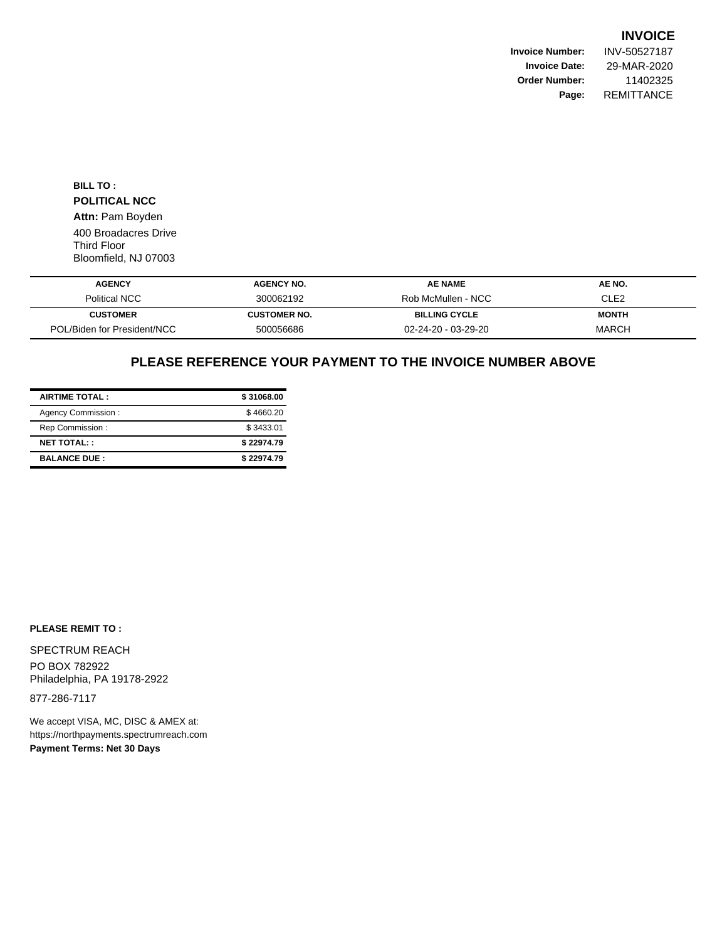**Invoice Number:** INV-50527187 **Invoice Date:** 29-MAR-2020 **Order Number:** 11402325 **Page:** REMITTANCE

**BILL TO : POLITICAL NCC Attn:** Pam Boyden 400 Broadacres Drive Third Floor Bloomfield, NJ 07003

| <b>AGENCY</b>               | <b>AGENCY NO.</b>   | <b>AE NAME</b>                | AE NO.       |
|-----------------------------|---------------------|-------------------------------|--------------|
| Political NCC               | 300062192           | Rob McMullen - NCC            | CLE2         |
| <b>CUSTOMER</b>             | <b>CUSTOMER NO.</b> | <b>BILLING CYCLE</b>          | <b>MONTH</b> |
| POL/Biden for President/NCC | 500056686           | $02 - 24 - 20 - 03 - 29 - 20$ | <b>MARCH</b> |

# **PLEASE REFERENCE YOUR PAYMENT TO THE INVOICE NUMBER ABOVE**

| <b>AIRTIME TOTAL:</b> | \$31068.00 |
|-----------------------|------------|
| Agency Commission:    | \$4660.20  |
| Rep Commission:       | \$3433.01  |
| <b>NET TOTAL::</b>    | \$22974.79 |
| <b>BALANCE DUE:</b>   | \$22974.79 |

#### **PLEASE REMIT TO :**

SPECTRUM REACH PO BOX 782922 Philadelphia, PA 19178-2922

877-286-7117

We accept VISA, MC, DISC & AMEX at: https://northpayments.spectrumreach.com **Payment Terms: Net 30 Days**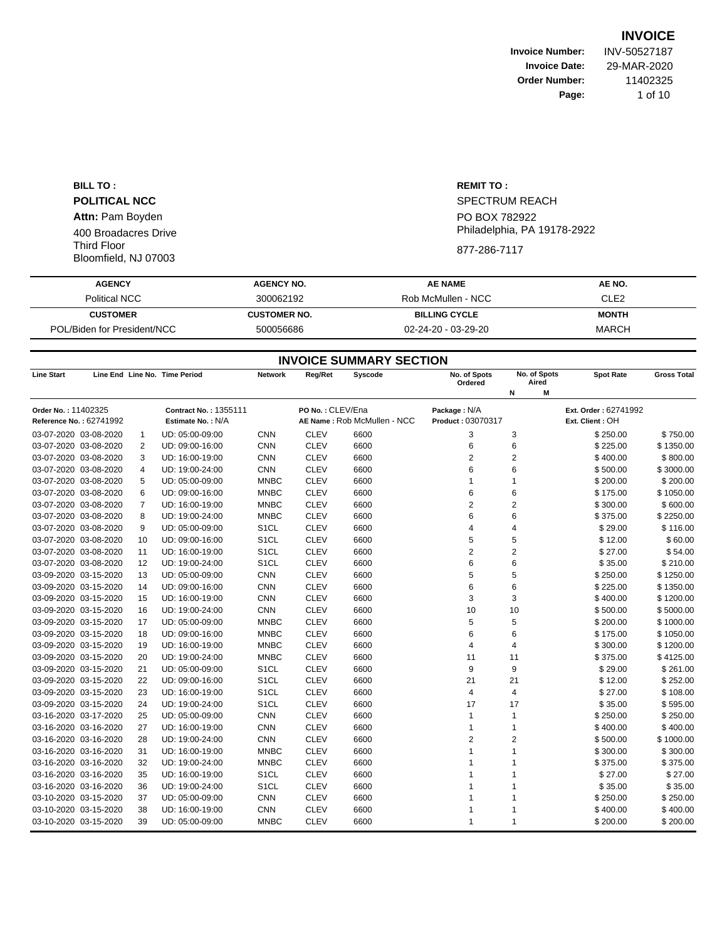**Invoice Number:** INV-50527187 **Invoice Date:** 29-MAR-2020 **Order Number:** 11402325 **Page:** 1 of 10

**BILL TO : POLITICAL NCC Attn:** Pam Boyden 400 Broadacres Drive Third Floor Bloomfield, NJ 07003

**REMIT TO :** SPECTRUM REACH PO BOX 782922 Philadelphia, PA 19178-2922 877-286-7117

# **AGENCY AGENCY NO. AE NAME AE NO.** Political NCC 6 200062192 Rob McMullen - NCC 6 2022 **CUSTOMER CUSTOMER NO. BILLING CYCLE MONTH** POL/Biden for President/NCC 600056686 02-24-20 - 03-29-20 MARCH

|                         | <b>INVOICE SUMMARY SECTION</b> |    |                               |                   |                  |                             |                         |                       |                      |                    |  |  |
|-------------------------|--------------------------------|----|-------------------------------|-------------------|------------------|-----------------------------|-------------------------|-----------------------|----------------------|--------------------|--|--|
| <b>Line Start</b>       |                                |    | Line End Line No. Time Period | <b>Network</b>    | Reg/Ret          | <b>Syscode</b>              | No. of Spots<br>Ordered | No. of Spots<br>Aired | <b>Spot Rate</b>     | <b>Gross Total</b> |  |  |
|                         |                                |    |                               |                   |                  |                             |                         | M<br>И                |                      |                    |  |  |
| Order No.: 11402325     |                                |    | Contract No.: 1355111         |                   | PO No.: CLEV/Ena |                             | Package: N/A            |                       | Ext. Order: 62741992 |                    |  |  |
| Reference No.: 62741992 |                                |    | Estimate No.: N/A             |                   |                  | AE Name: Rob McMullen - NCC | Product: 03070317       |                       | Ext. Client: OH      |                    |  |  |
| 03-07-2020 03-08-2020   |                                | 1  | UD: 05:00-09:00               | <b>CNN</b>        | <b>CLEV</b>      | 6600                        | 3                       | 3                     | \$250.00             | \$750.00           |  |  |
| 03-07-2020 03-08-2020   |                                | 2  | UD: 09:00-16:00               | <b>CNN</b>        | <b>CLEV</b>      | 6600                        | 6                       | 6                     | \$225.00             | \$1350.00          |  |  |
| 03-07-2020 03-08-2020   |                                | 3  | UD: 16:00-19:00               | <b>CNN</b>        | <b>CLEV</b>      | 6600                        | 2                       | 2                     | \$400.00             | \$800.00           |  |  |
| 03-07-2020 03-08-2020   |                                | 4  | UD: 19:00-24:00               | <b>CNN</b>        | <b>CLEV</b>      | 6600                        | 6                       | 6                     | \$500.00             | \$3000.00          |  |  |
| 03-07-2020 03-08-2020   |                                | 5  | UD: 05:00-09:00               | <b>MNBC</b>       | <b>CLEV</b>      | 6600                        | 1                       | 1                     | \$200.00             | \$200.00           |  |  |
| 03-07-2020 03-08-2020   |                                | 6  | UD: 09:00-16:00               | <b>MNBC</b>       | <b>CLEV</b>      | 6600                        | 6                       | 6                     | \$175.00             | \$1050.00          |  |  |
| 03-07-2020 03-08-2020   |                                | 7  | UD: 16:00-19:00               | <b>MNBC</b>       | <b>CLEV</b>      | 6600                        | $\overline{2}$          | 2                     | \$300.00             | \$600.00           |  |  |
| 03-07-2020 03-08-2020   |                                | 8  | UD: 19:00-24:00               | <b>MNBC</b>       | <b>CLEV</b>      | 6600                        | 6                       | 6                     | \$375.00             | \$2250.00          |  |  |
| 03-07-2020 03-08-2020   |                                | 9  | UD: 05:00-09:00               | S <sub>1</sub> CL | <b>CLEV</b>      | 6600                        | 4                       | 4                     | \$29.00              | \$116.00           |  |  |
| 03-07-2020 03-08-2020   |                                | 10 | UD: 09:00-16:00               | S <sub>1</sub> CL | <b>CLEV</b>      | 6600                        | 5                       | 5                     | \$12.00              | \$60.00            |  |  |
| 03-07-2020 03-08-2020   |                                | 11 | UD: 16:00-19:00               | S <sub>1</sub> CL | <b>CLEV</b>      | 6600                        | $\overline{2}$          | $\overline{c}$        | \$27.00              | \$54.00            |  |  |
| 03-07-2020 03-08-2020   |                                | 12 | UD: 19:00-24:00               | S <sub>1</sub> CL | <b>CLEV</b>      | 6600                        | 6                       | 6                     | \$35.00              | \$210.00           |  |  |
| 03-09-2020 03-15-2020   |                                | 13 | UD: 05:00-09:00               | <b>CNN</b>        | <b>CLEV</b>      | 6600                        | 5                       | 5                     | \$250.00             | \$1250.00          |  |  |
| 03-09-2020 03-15-2020   |                                | 14 | UD: 09:00-16:00               | <b>CNN</b>        | <b>CLEV</b>      | 6600                        | 6                       | 6                     | \$225.00             | \$1350.00          |  |  |
| 03-09-2020 03-15-2020   |                                | 15 | UD: 16:00-19:00               | <b>CNN</b>        | <b>CLEV</b>      | 6600                        | 3                       | 3                     | \$400.00             | \$1200.00          |  |  |
| 03-09-2020 03-15-2020   |                                | 16 | UD: 19:00-24:00               | <b>CNN</b>        | <b>CLEV</b>      | 6600                        | 10                      | 10                    | \$500.00             | \$5000.00          |  |  |
| 03-09-2020 03-15-2020   |                                | 17 | UD: 05:00-09:00               | <b>MNBC</b>       | <b>CLEV</b>      | 6600                        | 5                       | 5                     | \$200.00             | \$1000.00          |  |  |
| 03-09-2020 03-15-2020   |                                | 18 | UD: 09:00-16:00               | <b>MNBC</b>       | <b>CLEV</b>      | 6600                        | 6                       | 6                     | \$175.00             | \$1050.00          |  |  |
| 03-09-2020 03-15-2020   |                                | 19 | UD: 16:00-19:00               | <b>MNBC</b>       | <b>CLEV</b>      | 6600                        | 4                       | 4                     | \$300.00             | \$1200.00          |  |  |
| 03-09-2020 03-15-2020   |                                | 20 | UD: 19:00-24:00               | <b>MNBC</b>       | <b>CLEV</b>      | 6600                        | 11                      | 11                    | \$375.00             | \$4125.00          |  |  |
| 03-09-2020 03-15-2020   |                                | 21 | UD: 05:00-09:00               | S <sub>1</sub> CL | <b>CLEV</b>      | 6600                        | 9                       | 9                     | \$29.00              | \$261.00           |  |  |
| 03-09-2020 03-15-2020   |                                | 22 | UD: 09:00-16:00               | S <sub>1</sub> CL | <b>CLEV</b>      | 6600                        | 21                      | 21                    | \$12.00              | \$252.00           |  |  |
| 03-09-2020 03-15-2020   |                                | 23 | UD: 16:00-19:00               | S <sub>1</sub> CL | <b>CLEV</b>      | 6600                        | 4                       | 4                     | \$27.00              | \$108.00           |  |  |
| 03-09-2020 03-15-2020   |                                | 24 | UD: 19:00-24:00               | S <sub>1</sub> CL | <b>CLEV</b>      | 6600                        | 17                      | 17                    | \$35.00              | \$595.00           |  |  |
| 03-16-2020 03-17-2020   |                                | 25 | UD: 05:00-09:00               | <b>CNN</b>        | <b>CLEV</b>      | 6600                        | $\mathbf{1}$            | $\mathbf{1}$          | \$250.00             | \$250.00           |  |  |
| 03-16-2020 03-16-2020   |                                | 27 | UD: 16:00-19:00               | <b>CNN</b>        | <b>CLEV</b>      | 6600                        | 1                       | 1                     | \$400.00             | \$400.00           |  |  |
| 03-16-2020 03-16-2020   |                                | 28 | UD: 19:00-24:00               | <b>CNN</b>        | <b>CLEV</b>      | 6600                        | $\overline{2}$          | 2                     | \$500.00             | \$1000.00          |  |  |
| 03-16-2020 03-16-2020   |                                | 31 | UD: 16:00-19:00               | <b>MNBC</b>       | <b>CLEV</b>      | 6600                        | 1                       | 1                     | \$300.00             | \$300.00           |  |  |
| 03-16-2020 03-16-2020   |                                | 32 | UD: 19:00-24:00               | <b>MNBC</b>       | <b>CLEV</b>      | 6600                        | 1                       |                       | \$375.00             | \$375.00           |  |  |
| 03-16-2020 03-16-2020   |                                | 35 | UD: 16:00-19:00               | S <sub>1</sub> CL | <b>CLEV</b>      | 6600                        | 1                       |                       | \$27.00              | \$27.00            |  |  |
| 03-16-2020 03-16-2020   |                                | 36 | UD: 19:00-24:00               | S <sub>1</sub> CL | <b>CLEV</b>      | 6600                        | 1                       | 1                     | \$35.00              | \$35.00            |  |  |
| 03-10-2020 03-15-2020   |                                | 37 | UD: 05:00-09:00               | <b>CNN</b>        | <b>CLEV</b>      | 6600                        | 1                       |                       | \$250.00             | \$250.00           |  |  |
| 03-10-2020 03-15-2020   |                                | 38 | UD: 16:00-19:00               | <b>CNN</b>        | <b>CLEV</b>      | 6600                        | 1                       |                       | \$400.00             | \$400.00           |  |  |
| 03-10-2020 03-15-2020   |                                | 39 | UD: 05:00-09:00               | <b>MNBC</b>       | <b>CLEV</b>      | 6600                        | $\mathbf{1}$            | 1                     | \$200.00             | \$200.00           |  |  |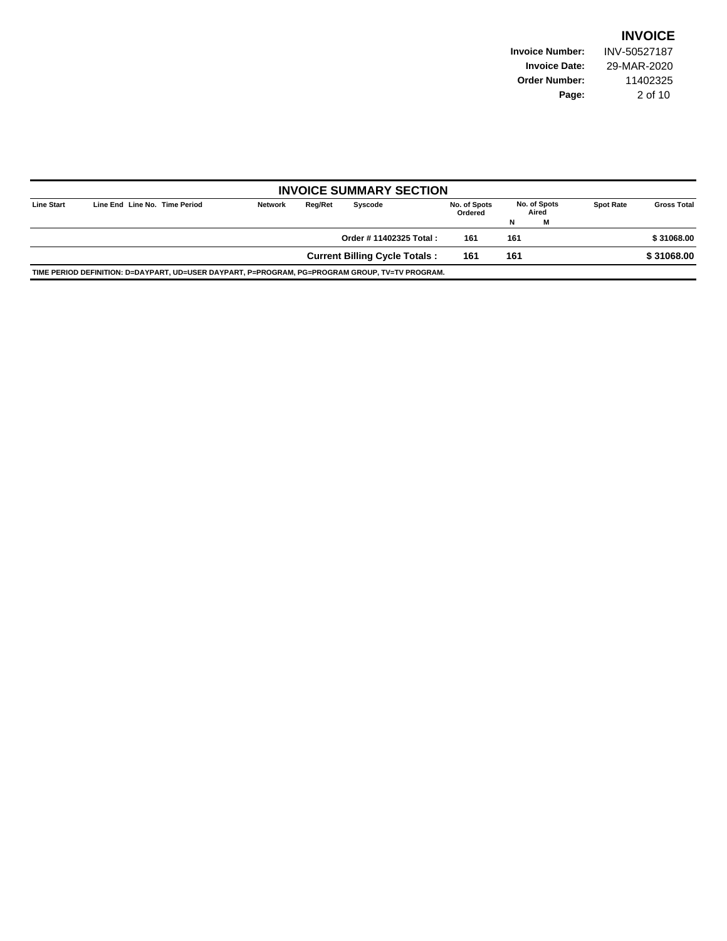**Invoice Number:** INV-50527187 **Invoice Date:** 29-MAR-2020 **Order Number:** 11402325 **Page:** 2 of 10

|                   |                                                                                                 |                |         | <b>INVOICE SUMMARY SECTION</b>       |                         |                       |   |                  |                    |
|-------------------|-------------------------------------------------------------------------------------------------|----------------|---------|--------------------------------------|-------------------------|-----------------------|---|------------------|--------------------|
| <b>Line Start</b> | Line End Line No. Time Period                                                                   | <b>Network</b> | Reg/Ret | Syscode                              | No. of Spots<br>Ordered | No. of Spots<br>Aired |   | <b>Spot Rate</b> | <b>Gross Total</b> |
|                   |                                                                                                 |                |         |                                      |                         | N                     | м |                  |                    |
|                   |                                                                                                 |                |         | Order # 11402325 Total:              | 161                     | 161                   |   |                  | \$31068.00         |
|                   |                                                                                                 |                |         | <b>Current Billing Cycle Totals:</b> | 161                     | 161                   |   |                  | \$31068.00         |
|                   | TIME PERIOD DEFINITION: D=DAYPART, UD=USER DAYPART, P=PROGRAM, PG=PROGRAM GROUP, TV=TV PROGRAM. |                |         |                                      |                         |                       |   |                  |                    |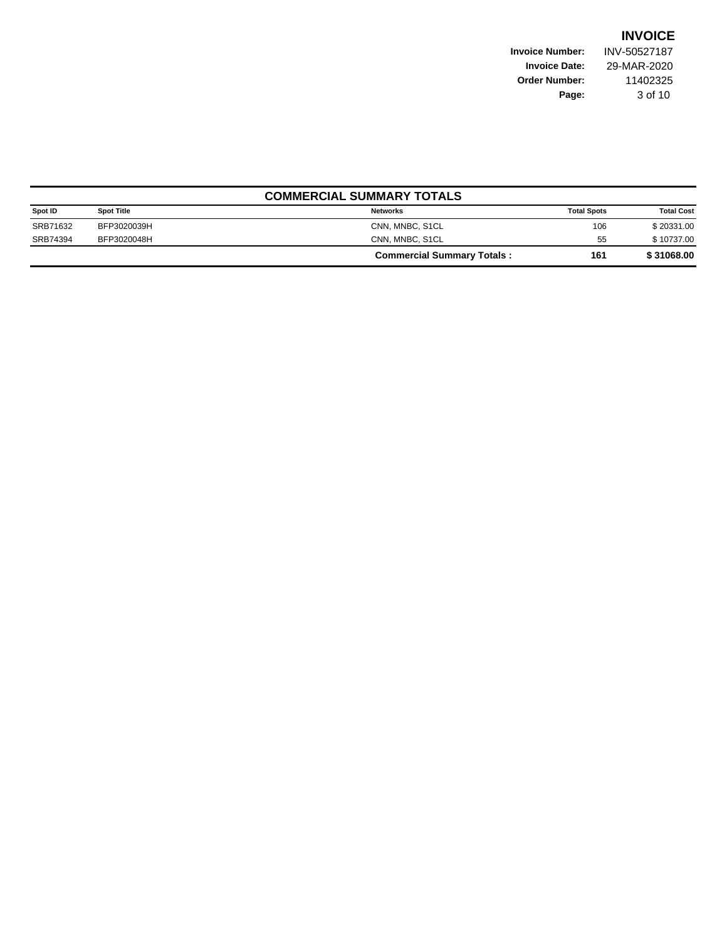**Invoice Number:** INV-50527187 **Invoice Date:** 29-MAR-2020 **Order Number:** 11402325 **Page:** 3 of 10

|          | <b>COMMERCIAL SUMMARY TOTALS</b> |                                   |                    |                   |  |  |  |  |  |
|----------|----------------------------------|-----------------------------------|--------------------|-------------------|--|--|--|--|--|
| Spot ID  | <b>Spot Title</b>                | <b>Networks</b>                   | <b>Total Spots</b> | <b>Total Cost</b> |  |  |  |  |  |
| SRB71632 | BFP3020039H                      | CNN, MNBC, S1CL                   | 106                | \$20331.00        |  |  |  |  |  |
| SRB74394 | BFP3020048H                      | CNN, MNBC, S1CL                   | 55                 | \$10737.00        |  |  |  |  |  |
|          |                                  | <b>Commercial Summary Totals:</b> | 161                | \$31068.00        |  |  |  |  |  |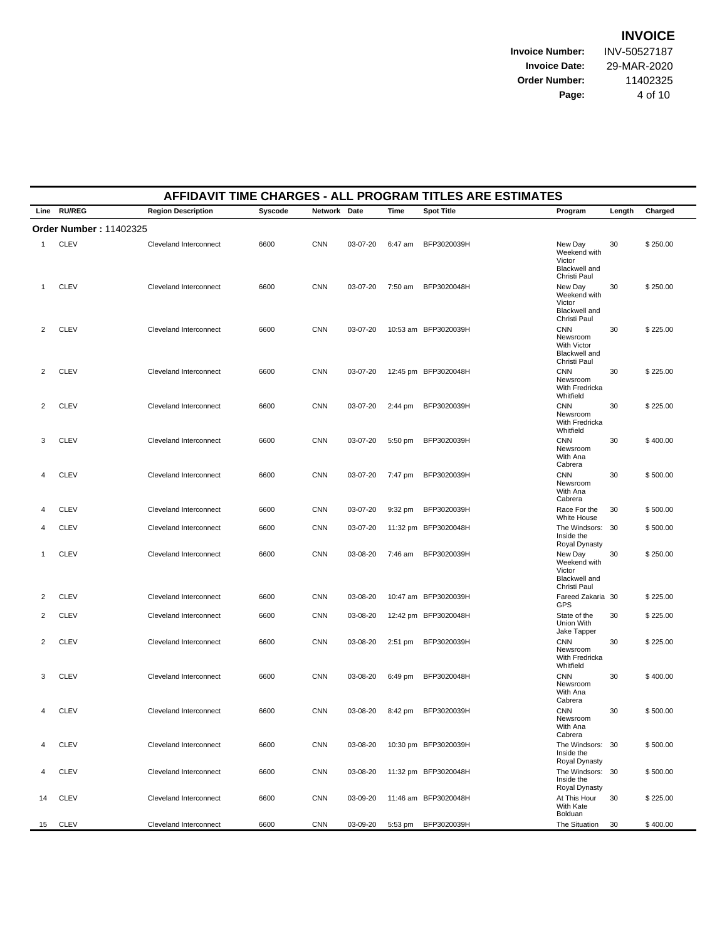**Invoice Number:** INV-50527187 **Invoice Date:** 29-MAR-2020 **Order Number:** 11402325 **Page:** 4 of 10

|                | AFFIDAVIT TIME CHARGES - ALL PROGRAM TITLES ARE ESTIMATES |                           |         |              |          |           |                      |                                                                               |        |          |  |  |
|----------------|-----------------------------------------------------------|---------------------------|---------|--------------|----------|-----------|----------------------|-------------------------------------------------------------------------------|--------|----------|--|--|
|                | Line RU/REG                                               | <b>Region Description</b> | Syscode | Network Date |          | Time      | <b>Spot Title</b>    | Program                                                                       | Length | Charged  |  |  |
|                | <b>Order Number: 11402325</b>                             |                           |         |              |          |           |                      |                                                                               |        |          |  |  |
| 1              | <b>CLEV</b>                                               | Cleveland Interconnect    | 6600    | <b>CNN</b>   | 03-07-20 | 6:47 am   | BFP3020039H          | New Day<br>Weekend with<br>Victor<br>Blackwell and<br>Christi Paul            | 30     | \$250.00 |  |  |
| 1              | <b>CLEV</b>                                               | Cleveland Interconnect    | 6600    | <b>CNN</b>   | 03-07-20 | 7:50 am   | BFP3020048H          | New Day<br>Weekend with<br>Victor<br>Blackwell and<br>Christi Paul            | 30     | \$250.00 |  |  |
| 2              | <b>CLEV</b>                                               | Cleveland Interconnect    | 6600    | <b>CNN</b>   | 03-07-20 |           | 10:53 am BFP3020039H | <b>CNN</b><br>Newsroom<br><b>With Victor</b><br>Blackwell and<br>Christi Paul | 30     | \$225.00 |  |  |
| 2              | <b>CLEV</b>                                               | Cleveland Interconnect    | 6600    | <b>CNN</b>   | 03-07-20 |           | 12:45 pm BFP3020048H | <b>CNN</b><br>Newsroom<br>With Fredricka<br>Whitfield                         | 30     | \$225.00 |  |  |
| 2              | <b>CLEV</b>                                               | Cleveland Interconnect    | 6600    | <b>CNN</b>   | 03-07-20 | 2:44 pm   | BFP3020039H          | <b>CNN</b><br>Newsroom<br>With Fredricka<br>Whitfield                         | 30     | \$225.00 |  |  |
| 3              | <b>CLEV</b>                                               | Cleveland Interconnect    | 6600    | <b>CNN</b>   | 03-07-20 | 5:50 pm   | BFP3020039H          | <b>CNN</b><br>Newsroom<br>With Ana<br>Cabrera                                 | 30     | \$400.00 |  |  |
| 4              | <b>CLEV</b>                                               | Cleveland Interconnect    | 6600    | <b>CNN</b>   | 03-07-20 | 7:47 pm   | BFP3020039H          | <b>CNN</b><br>Newsroom<br>With Ana<br>Cabrera                                 | 30     | \$500.00 |  |  |
| 4              | <b>CLEV</b>                                               | Cleveland Interconnect    | 6600    | <b>CNN</b>   | 03-07-20 | 9:32 pm   | BFP3020039H          | Race For the<br>White House                                                   | 30     | \$500.00 |  |  |
| 4              | <b>CLEV</b>                                               | Cleveland Interconnect    | 6600    | <b>CNN</b>   | 03-07-20 |           | 11:32 pm BFP3020048H | The Windsors: 30<br>Inside the<br>Royal Dynasty                               |        | \$500.00 |  |  |
| 1              | <b>CLEV</b>                                               | Cleveland Interconnect    | 6600    | <b>CNN</b>   | 03-08-20 | 7:46 am   | BFP3020039H          | New Day<br>Weekend with<br>Victor<br>Blackwell and<br>Christi Paul            | 30     | \$250.00 |  |  |
| 2              | <b>CLEV</b>                                               | Cleveland Interconnect    | 6600    | <b>CNN</b>   | 03-08-20 |           | 10:47 am BFP3020039H | Fareed Zakaria 30<br>GPS                                                      |        | \$225.00 |  |  |
| $\overline{2}$ | <b>CLEV</b>                                               | Cleveland Interconnect    | 6600    | <b>CNN</b>   | 03-08-20 |           | 12:42 pm BFP3020048H | State of the<br>Union With<br>Jake Tapper                                     | 30     | \$225.00 |  |  |
| 2              | <b>CLEV</b>                                               | Cleveland Interconnect    | 6600    | <b>CNN</b>   | 03-08-20 | $2:51$ pm | BFP3020039H          | <b>CNN</b><br>Newsroom<br>With Fredricka<br>Whitfield                         | 30     | \$225.00 |  |  |
| 3              | <b>CLEV</b>                                               | Cleveland Interconnect    | 6600    | <b>CNN</b>   | 03-08-20 | 6:49 pm   | BFP3020048H          | <b>CNN</b><br>Newsroom<br>With Ana<br>Cabrera                                 | 30     | \$400.00 |  |  |
| 4              | <b>CLEV</b>                                               | Cleveland Interconnect    | 6600    | <b>CNN</b>   | 03-08-20 | 8:42 pm   | BFP3020039H          | <b>CNN</b><br>Newsroom<br>With Ana<br>Cabrera                                 | 30     | \$500.00 |  |  |
| 4              | <b>CLEV</b>                                               | Cleveland Interconnect    | 6600    | <b>CNN</b>   | 03-08-20 |           | 10:30 pm BFP3020039H | The Windsors: 30<br>Inside the<br>Royal Dynasty                               |        | \$500.00 |  |  |
| 4              | <b>CLEV</b>                                               | Cleveland Interconnect    | 6600    | <b>CNN</b>   | 03-08-20 |           | 11:32 pm BFP3020048H | The Windsors: 30<br>Inside the<br>Royal Dynasty                               |        | \$500.00 |  |  |
| 14             | <b>CLEV</b>                                               | Cleveland Interconnect    | 6600    | <b>CNN</b>   | 03-09-20 |           | 11:46 am BFP3020048H | At This Hour<br>With Kate<br>Bolduan                                          | 30     | \$225.00 |  |  |
| 15             | <b>CLEV</b>                                               | Cleveland Interconnect    | 6600    | <b>CNN</b>   | 03-09-20 | 5:53 pm   | BFP3020039H          | The Situation                                                                 | 30     | \$400.00 |  |  |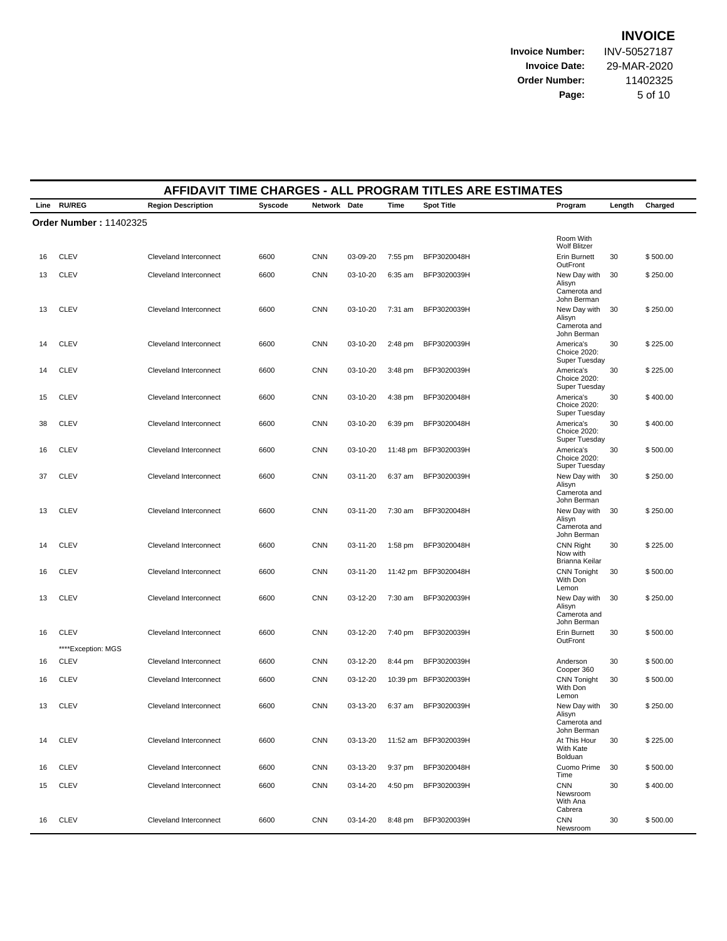**Invoice Number:** INV-50527187 **Invoice Date:** 29-MAR-2020 **Order Number:** 11402325 **Page:** 5 of 10

|    | AFFIDAVIT TIME CHARGES - ALL PROGRAM TITLES ARE ESTIMATES |                           |         |              |          |           |                      |                                                          |        |          |  |  |  |
|----|-----------------------------------------------------------|---------------------------|---------|--------------|----------|-----------|----------------------|----------------------------------------------------------|--------|----------|--|--|--|
|    | Line RU/REG                                               | <b>Region Description</b> | Syscode | Network Date |          | Time      | <b>Spot Title</b>    | Program                                                  | Length | Charged  |  |  |  |
|    | <b>Order Number: 11402325</b>                             |                           |         |              |          |           |                      |                                                          |        |          |  |  |  |
|    |                                                           |                           |         |              |          |           |                      | Room With<br><b>Wolf Blitzer</b>                         |        |          |  |  |  |
| 16 | <b>CLEV</b>                                               | Cleveland Interconnect    | 6600    | <b>CNN</b>   | 03-09-20 | 7:55 pm   | BFP3020048H          | <b>Erin Burnett</b><br>OutFront                          | 30     | \$500.00 |  |  |  |
| 13 | <b>CLEV</b>                                               | Cleveland Interconnect    | 6600    | <b>CNN</b>   | 03-10-20 | 6:35 am   | BFP3020039H          | New Day with<br>Alisyn<br>Camerota and<br>John Berman    | 30     | \$250.00 |  |  |  |
| 13 | <b>CLEV</b>                                               | Cleveland Interconnect    | 6600    | <b>CNN</b>   | 03-10-20 | 7:31 am   | BFP3020039H          | New Day with<br>Alisyn<br>Camerota and<br>John Berman    | 30     | \$250.00 |  |  |  |
| 14 | <b>CLEV</b>                                               | Cleveland Interconnect    | 6600    | <b>CNN</b>   | 03-10-20 | 2:48 pm   | BFP3020039H          | America's<br>Choice 2020:<br>Super Tuesday               | 30     | \$225.00 |  |  |  |
| 14 | <b>CLEV</b>                                               | Cleveland Interconnect    | 6600    | <b>CNN</b>   | 03-10-20 | $3:48$ pm | BFP3020039H          | America's<br>Choice 2020:<br>Super Tuesday               | 30     | \$225.00 |  |  |  |
| 15 | <b>CLEV</b>                                               | Cleveland Interconnect    | 6600    | <b>CNN</b>   | 03-10-20 | 4:38 pm   | BFP3020048H          | America's<br>Choice 2020:<br>Super Tuesday               | 30     | \$400.00 |  |  |  |
| 38 | <b>CLEV</b>                                               | Cleveland Interconnect    | 6600    | <b>CNN</b>   | 03-10-20 | $6:39$ pm | BFP3020048H          | America's<br>Choice 2020:<br>Super Tuesday               | 30     | \$400.00 |  |  |  |
| 16 | <b>CLEV</b>                                               | Cleveland Interconnect    | 6600    | <b>CNN</b>   | 03-10-20 |           | 11:48 pm BFP3020039H | America's<br>Choice 2020:<br>Super Tuesday               | 30     | \$500.00 |  |  |  |
| 37 | <b>CLEV</b>                                               | Cleveland Interconnect    | 6600    | <b>CNN</b>   | 03-11-20 | 6:37 am   | BFP3020039H          | New Day with<br>Alisyn<br>Camerota and<br>John Berman    | 30     | \$250.00 |  |  |  |
| 13 | <b>CLEV</b>                                               | Cleveland Interconnect    | 6600    | <b>CNN</b>   | 03-11-20 | $7:30$ am | BFP3020048H          | New Day with<br>Alisyn<br>Camerota and<br>John Berman    | 30     | \$250.00 |  |  |  |
| 14 | <b>CLEV</b>                                               | Cleveland Interconnect    | 6600    | <b>CNN</b>   | 03-11-20 | $1:58$ pm | BFP3020048H          | <b>CNN Right</b><br>Now with<br>Brianna Keilar           | 30     | \$225.00 |  |  |  |
| 16 | <b>CLEV</b>                                               | Cleveland Interconnect    | 6600    | <b>CNN</b>   | 03-11-20 |           | 11:42 pm BFP3020048H | <b>CNN Tonight</b><br>With Don<br>Lemon                  | 30     | \$500.00 |  |  |  |
| 13 | <b>CLEV</b>                                               | Cleveland Interconnect    | 6600    | <b>CNN</b>   | 03-12-20 | 7:30 am   | BFP3020039H          | New Day with<br>Alisyn<br>Camerota and<br>John Berman    | 30     | \$250.00 |  |  |  |
| 16 | <b>CLEV</b><br>****Exception: MGS                         | Cleveland Interconnect    | 6600    | <b>CNN</b>   | 03-12-20 | 7:40 pm   | BFP3020039H          | Erin Burnett<br>OutFront                                 | 30     | \$500.00 |  |  |  |
| 16 | <b>CLEV</b>                                               | Cleveland Interconnect    | 6600    | <b>CNN</b>   | 03-12-20 | 8:44 pm   | BFP3020039H          | Anderson<br>Cooper 360                                   | 30     | \$500.00 |  |  |  |
| 16 | <b>CLEV</b>                                               | Cleveland Interconnect    | 6600    | <b>CNN</b>   | 03-12-20 |           | 10:39 pm BFP3020039H | <b>CNN Tonight</b><br>With Don<br>Lemon                  | 30     | \$500.00 |  |  |  |
| 13 | <b>CLEV</b>                                               | Cleveland Interconnect    | 6600    | <b>CNN</b>   | 03-13-20 | 6:37 am   | BFP3020039H          | New Day with 30<br>Alisyn<br>Camerota and<br>John Berman |        | \$250.00 |  |  |  |
| 14 | <b>CLEV</b>                                               | Cleveland Interconnect    | 6600    | <b>CNN</b>   | 03-13-20 |           | 11:52 am BFP3020039H | At This Hour<br>With Kate<br>Bolduan                     | 30     | \$225.00 |  |  |  |
| 16 | <b>CLEV</b>                                               | Cleveland Interconnect    | 6600    | <b>CNN</b>   | 03-13-20 | 9:37 pm   | BFP3020048H          | Cuomo Prime<br>Time                                      | 30     | \$500.00 |  |  |  |
| 15 | <b>CLEV</b>                                               | Cleveland Interconnect    | 6600    | <b>CNN</b>   | 03-14-20 | 4:50 pm   | BFP3020039H          | <b>CNN</b><br>Newsroom<br>With Ana<br>Cabrera            | 30     | \$400.00 |  |  |  |
| 16 | <b>CLEV</b>                                               | Cleveland Interconnect    | 6600    | <b>CNN</b>   | 03-14-20 | 8:48 pm   | BFP3020039H          | <b>CNN</b><br>Newsroom                                   | 30     | \$500.00 |  |  |  |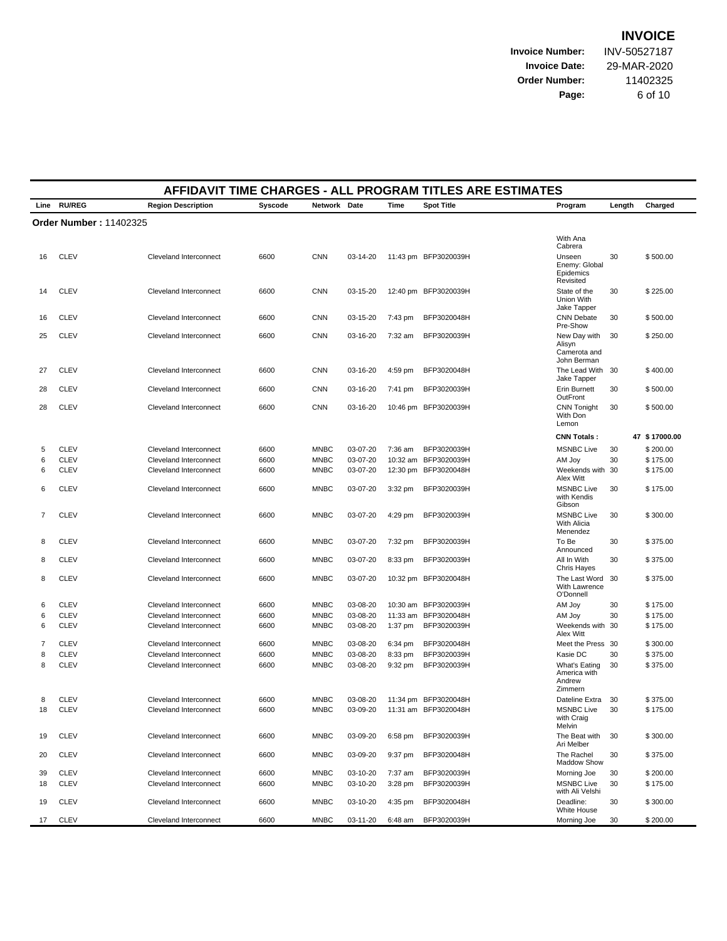**Invoice Number:** INV-50527187 **Invoice Date: Order Number:** 

Page:

| 29-MAR-2020     |
|-----------------|
| 11402325        |
| <u> 6 იf 10</u> |

|    | AFFIDAVIT TIME CHARGES - ALL PROGRAM TITLES ARE ESTIMATES |                           |         |              |          |           |                      |                                                       |        |               |  |  |
|----|-----------------------------------------------------------|---------------------------|---------|--------------|----------|-----------|----------------------|-------------------------------------------------------|--------|---------------|--|--|
|    | Line RU/REG                                               | <b>Region Description</b> | Syscode | Network Date |          | Time      | <b>Spot Title</b>    | Program                                               | Length | Charged       |  |  |
|    | <b>Order Number: 11402325</b>                             |                           |         |              |          |           |                      |                                                       |        |               |  |  |
|    |                                                           |                           |         |              |          |           |                      | With Ana                                              |        |               |  |  |
|    |                                                           |                           |         |              |          |           |                      | Cabrera                                               |        |               |  |  |
| 16 | <b>CLEV</b>                                               | Cleveland Interconnect    | 6600    | <b>CNN</b>   | 03-14-20 |           | 11:43 pm BFP3020039H | Unseen<br>Enemy: Global<br>Epidemics<br>Revisited     | 30     | \$500.00      |  |  |
| 14 | <b>CLEV</b>                                               | Cleveland Interconnect    | 6600    | <b>CNN</b>   | 03-15-20 |           | 12:40 pm BFP3020039H | State of the<br>Union With<br>Jake Tapper             | 30     | \$225.00      |  |  |
| 16 | <b>CLEV</b>                                               | Cleveland Interconnect    | 6600    | <b>CNN</b>   | 03-15-20 | 7:43 pm   | BFP3020048H          | <b>CNN Debate</b><br>Pre-Show                         | 30     | \$500.00      |  |  |
| 25 | <b>CLEV</b>                                               | Cleveland Interconnect    | 6600    | <b>CNN</b>   | 03-16-20 | 7:32 am   | BFP3020039H          | New Day with<br>Alisyn<br>Camerota and<br>John Berman | 30     | \$250.00      |  |  |
| 27 | <b>CLEV</b>                                               | Cleveland Interconnect    | 6600    | <b>CNN</b>   | 03-16-20 | 4:59 pm   | BFP3020048H          | The Lead With 30<br>Jake Tapper                       |        | \$400.00      |  |  |
| 28 | <b>CLEV</b>                                               | Cleveland Interconnect    | 6600    | <b>CNN</b>   | 03-16-20 | 7:41 pm   | BFP3020039H          | Erin Burnett<br>OutFront                              | 30     | \$500.00      |  |  |
| 28 | <b>CLEV</b>                                               | Cleveland Interconnect    | 6600    | <b>CNN</b>   | 03-16-20 |           | 10:46 pm BFP3020039H | <b>CNN Tonight</b><br>With Don<br>Lemon               | 30     | \$500.00      |  |  |
|    |                                                           |                           |         |              |          |           |                      | <b>CNN Totals:</b>                                    |        | 47 \$17000.00 |  |  |
| 5  | <b>CLEV</b>                                               | Cleveland Interconnect    | 6600    | <b>MNBC</b>  | 03-07-20 | $7:36$ am | BFP3020039H          | <b>MSNBC Live</b>                                     | 30     | \$200.00      |  |  |
| 6  | <b>CLEV</b>                                               | Cleveland Interconnect    | 6600    | <b>MNBC</b>  | 03-07-20 | 10:32 am  | BFP3020039H          | AM Joy                                                | 30     | \$175.00      |  |  |
| 6  | <b>CLEV</b>                                               | Cleveland Interconnect    | 6600    | <b>MNBC</b>  | 03-07-20 | 12:30 pm  | BFP3020048H          | Weekends with 30<br>Alex Witt                         |        | \$175.00      |  |  |
| 6  | <b>CLEV</b>                                               | Cleveland Interconnect    | 6600    | <b>MNBC</b>  | 03-07-20 | $3:32$ pm | BFP3020039H          | <b>MSNBC Live</b><br>with Kendis<br>Gibson            | 30     | \$175.00      |  |  |
| 7  | <b>CLEV</b>                                               | Cleveland Interconnect    | 6600    | <b>MNBC</b>  | 03-07-20 | 4:29 pm   | BFP3020039H          | <b>MSNBC Live</b><br>With Alicia<br>Menendez          | 30     | \$300.00      |  |  |
| 8  | <b>CLEV</b>                                               | Cleveland Interconnect    | 6600    | <b>MNBC</b>  | 03-07-20 | 7:32 pm   | BFP3020039H          | To Be<br>Announced                                    | 30     | \$375.00      |  |  |
| 8  | <b>CLEV</b>                                               | Cleveland Interconnect    | 6600    | <b>MNBC</b>  | 03-07-20 | 8:33 pm   | BFP3020039H          | All In With<br>Chris Hayes                            | 30     | \$375.00      |  |  |
| 8  | <b>CLEV</b>                                               | Cleveland Interconnect    | 6600    | <b>MNBC</b>  | 03-07-20 |           | 10:32 pm BFP3020048H | The Last Word<br>With Lawrence<br>O'Donnell           | 30     | \$375.00      |  |  |
| 6  | <b>CLEV</b>                                               | Cleveland Interconnect    | 6600    | <b>MNBC</b>  | 03-08-20 |           | 10:30 am BFP3020039H | AM Joy                                                | 30     | \$175.00      |  |  |
| 6  | <b>CLEV</b>                                               | Cleveland Interconnect    | 6600    | <b>MNBC</b>  | 03-08-20 |           | 11:33 am BFP3020048H | AM Joy                                                | 30     | \$175.00      |  |  |
| 6  | <b>CLEV</b>                                               | Cleveland Interconnect    | 6600    | <b>MNBC</b>  | 03-08-20 | $1:37$ pm | BFP3020039H          | Weekends with 30<br>Alex Witt                         |        | \$175.00      |  |  |
| 7  | <b>CLEV</b>                                               | Cleveland Interconnect    | 6600    | <b>MNBC</b>  | 03-08-20 | 6:34 pm   | BFP3020048H          | Meet the Press 30                                     |        | \$300.00      |  |  |
| 8  | <b>CLEV</b>                                               | Cleveland Interconnect    | 6600    | <b>MNBC</b>  | 03-08-20 | 8:33 pm   | BFP3020039H          | Kasie DC                                              | 30     | \$375.00      |  |  |
| 8  | <b>CLEV</b>                                               | Cleveland Interconnect    | 6600    | <b>MNBC</b>  | 03-08-20 | 9:32 pm   | BFP3020039H          | What's Eating<br>America with<br>Andrew<br>Zimmern    | 30     | \$375.00      |  |  |
| 8  | <b>CLEV</b>                                               | Cleveland Interconnect    | 6600    | <b>MNBC</b>  | 03-08-20 |           | 11:34 pm BFP3020048H | Dateline Extra                                        | 30     | \$375.00      |  |  |
| 18 | <b>CLEV</b>                                               | Cleveland Interconnect    | 6600    | <b>MNBC</b>  | 03-09-20 |           | 11:31 am BFP3020048H | <b>MSNBC Live</b><br>with Craig<br>Melvin             | 30     | \$175.00      |  |  |
| 19 | <b>CLEV</b>                                               | Cleveland Interconnect    | 6600    | <b>MNBC</b>  | 03-09-20 | 6:58 pm   | BFP3020039H          | The Beat with<br>Ari Melber                           | 30     | \$300.00      |  |  |
| 20 | <b>CLEV</b>                                               | Cleveland Interconnect    | 6600    | <b>MNBC</b>  | 03-09-20 | 9:37 pm   | BFP3020048H          | The Rachel<br>Maddow Show                             | 30     | \$375.00      |  |  |
| 39 | <b>CLEV</b>                                               | Cleveland Interconnect    | 6600    | <b>MNBC</b>  | 03-10-20 | 7:37 am   | BFP3020039H          | Morning Joe                                           | 30     | \$200.00      |  |  |
| 18 | <b>CLEV</b>                                               | Cleveland Interconnect    | 6600    | <b>MNBC</b>  | 03-10-20 | $3:28$ pm | BFP3020039H          | <b>MSNBC Live</b><br>with Ali Velshi                  | 30     | \$175.00      |  |  |
| 19 | <b>CLEV</b>                                               | Cleveland Interconnect    | 6600    | <b>MNBC</b>  | 03-10-20 | 4:35 pm   | BFP3020048H          | Deadline:<br>White House                              | 30     | \$300.00      |  |  |
| 17 | <b>CLEV</b>                                               | Cleveland Interconnect    | 6600    | <b>MNBC</b>  | 03-11-20 | 6:48 am   | BFP3020039H          | Morning Joe                                           | 30     | \$200.00      |  |  |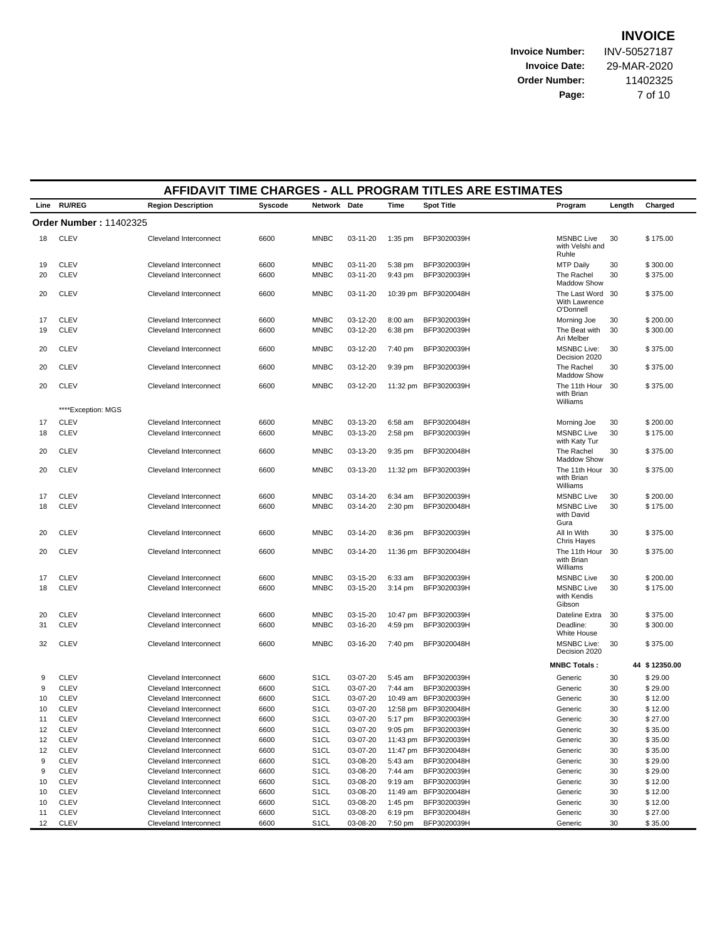**Invoice Number:** INV-50527187 **Invoice Date:** 29-MAR-2020 **Order Number:** 11402325

**Page:** 7 of 10

| <b>RU/REG</b><br>Line<br><b>Region Description</b><br>Syscode<br>Network Date<br>Time<br><b>Spot Title</b><br>Length<br>Program<br><b>Order Number: 11402325</b><br><b>CLEV</b><br><b>MNBC</b><br>BFP3020039H<br><b>MSNBC Live</b><br>30<br>18<br>Cleveland Interconnect<br>6600<br>03-11-20<br>$1:35$ pm<br>with Velshi and<br>Ruhle<br><b>CLEV</b><br><b>MNBC</b><br><b>MTP Daily</b><br>Cleveland Interconnect<br>6600<br>03-11-20<br>5:38 pm<br>BFP3020039H<br>19<br>30<br>20<br><b>CLEV</b><br>Cleveland Interconnect<br>6600<br><b>MNBC</b><br>03-11-20<br>9:43 pm<br>BFP3020039H<br>The Rachel<br>30<br>Maddow Show<br>20<br><b>CLEV</b><br>Cleveland Interconnect<br>6600<br><b>MNBC</b><br>10:39 pm BFP3020048H<br>The Last Word 30<br>03-11-20<br>With Lawrence<br>O'Donnell<br><b>CLEV</b><br>Cleveland Interconnect<br>6600<br><b>MNBC</b><br>03-12-20<br>$8:00$ am<br>BFP3020039H<br>17<br>Morning Joe<br>30<br>19<br><b>CLEV</b><br>Cleveland Interconnect<br><b>MNBC</b><br>03-12-20<br>6:38 pm<br>BFP3020039H<br>The Beat with<br>30<br>6600<br>Ari Melber<br><b>MSNBC Live:</b><br><b>CLEV</b><br>Cleveland Interconnect<br>6600<br><b>MNBC</b><br>BFP3020039H<br>30<br>20<br>03-12-20<br>7:40 pm<br>Decision 2020<br><b>CLEV</b><br>Cleveland Interconnect<br>6600<br><b>MNBC</b><br>BFP3020039H<br>The Rachel<br>30<br>20<br>03-12-20<br>$9:39$ pm<br>Maddow Show<br><b>MNBC</b><br>The 11th Hour 30<br>20<br><b>CLEV</b><br>Cleveland Interconnect<br>6600<br>03-12-20<br>11:32 pm BFP3020039H<br>with Brian<br>Williams<br>****Exception: MGS<br><b>CLEV</b><br>Cleveland Interconnect<br>6600<br><b>MNBC</b><br>03-13-20<br>6:58 am<br>BFP3020048H<br>17<br>Morning Joe<br>30<br>18<br><b>CLEV</b><br>Cleveland Interconnect<br>6600<br><b>MNBC</b><br>03-13-20<br>$2:58$ pm<br>BFP3020039H<br><b>MSNBC Live</b><br>30<br>with Katy Tur<br>20<br><b>CLEV</b><br>Cleveland Interconnect<br>6600<br><b>MNBC</b><br>03-13-20<br>$9:35$ pm<br>BFP3020048H<br>The Rachel<br>30<br>Maddow Show<br>20<br><b>CLEV</b><br>Cleveland Interconnect<br>6600<br><b>MNBC</b><br>03-13-20<br>11:32 pm BFP3020039H<br>The 11th Hour<br>30<br>with Brian<br>Williams<br><b>MNBC</b><br><b>CLEV</b><br>Cleveland Interconnect<br>6600<br>03-14-20<br>BFP3020039H<br><b>MSNBC Live</b><br>30<br>17<br>6:34 am<br><b>MSNBC Live</b><br>18<br><b>CLEV</b><br>Cleveland Interconnect<br>6600<br><b>MNBC</b><br>03-14-20<br>$2:30$ pm<br>BFP3020048H<br>30<br>with David<br>Gura<br><b>CLEV</b><br>Cleveland Interconnect<br>6600<br><b>MNBC</b><br>BFP3020039H<br>All In With<br>30<br>20<br>03-14-20<br>8:36 pm<br>Chris Hayes<br><b>MNBC</b><br>20<br><b>CLEV</b><br>Cleveland Interconnect<br>6600<br>03-14-20<br>11:36 pm BFP3020048H<br>The 11th Hour<br>-30<br>with Brian<br>Williams<br><b>CLEV</b><br>Cleveland Interconnect<br>6600<br><b>MNBC</b><br>03-15-20<br>$6:33$ am<br>BFP3020039H<br><b>MSNBC Live</b><br>30<br>17<br><b>CLEV</b><br>Cleveland Interconnect<br>6600<br><b>MNBC</b><br>03-15-20<br>$3:14 \text{ pm}$<br>BFP3020039H<br><b>MSNBC Live</b><br>30<br>18<br>with Kendis<br>Gibson<br><b>CLEV</b><br>Cleveland Interconnect<br>6600<br><b>MNBC</b><br>03-15-20<br>10:47 pm BFP3020039H<br>Dateline Extra<br>30<br>20<br><b>MNBC</b><br>31<br><b>CLEV</b><br>Cleveland Interconnect<br>6600<br>03-16-20<br>4:59 pm<br>BFP3020039H<br>Deadline:<br>30<br>White House<br><b>MSNBC Live:</b><br>32<br><b>CLEV</b><br>Cleveland Interconnect<br>6600<br><b>MNBC</b><br>03-16-20<br>7:40 pm<br>BFP3020048H<br>30<br>Decision 2020<br><b>MNBC Totals:</b><br>9<br><b>CLEV</b><br>Cleveland Interconnect<br>6600<br>S <sub>1</sub> CL<br>03-07-20<br>BFP3020039H<br>Generic<br>30<br>5:45 am<br>9<br><b>CLEV</b><br>Cleveland Interconnect<br>S <sub>1</sub> CL<br>03-07-20<br>BFP3020039H<br>Generic<br>30<br>6600<br>7:44 am<br>10<br><b>CLEV</b><br>Cleveland Interconnect<br>6600<br>S <sub>1</sub> CL<br>03-07-20<br>10:49 am BFP3020039H<br>Generic<br>30<br>10<br><b>CLEV</b><br>6600<br>S <sub>1</sub> CL<br>03-07-20<br>12:58 pm BFP3020048H<br>Generic<br>30<br>Cleveland Interconnect<br>11<br>CLEV<br>Cleveland Interconnect<br>6600<br>S1CL<br>03-07-20<br>5:17 pm<br>BFP3020039H<br>Generic<br>30<br><b>CLEV</b><br>12<br>Cleveland Interconnect<br>6600<br>S <sub>1</sub> CL<br>03-07-20<br>$9:05$ pm<br>BFP3020039H<br>30<br>Generic<br><b>CLEV</b><br>03-07-20<br>11:43 pm BFP3020039H<br>Generic<br>12<br>Cleveland Interconnect<br>6600<br>S <sub>1</sub> CL<br>30<br><b>CLEV</b><br>Generic<br>12<br>Cleveland Interconnect<br>6600<br>S <sub>1</sub> CL<br>03-07-20<br>11:47 pm BFP3020048H<br>30 | AFFIDAVIT TIME CHARGES - ALL PROGRAM TITLES ARE ESTIMATES |  |  |  |  |  |  |  |  |  |  |  |
|--------------------------------------------------------------------------------------------------------------------------------------------------------------------------------------------------------------------------------------------------------------------------------------------------------------------------------------------------------------------------------------------------------------------------------------------------------------------------------------------------------------------------------------------------------------------------------------------------------------------------------------------------------------------------------------------------------------------------------------------------------------------------------------------------------------------------------------------------------------------------------------------------------------------------------------------------------------------------------------------------------------------------------------------------------------------------------------------------------------------------------------------------------------------------------------------------------------------------------------------------------------------------------------------------------------------------------------------------------------------------------------------------------------------------------------------------------------------------------------------------------------------------------------------------------------------------------------------------------------------------------------------------------------------------------------------------------------------------------------------------------------------------------------------------------------------------------------------------------------------------------------------------------------------------------------------------------------------------------------------------------------------------------------------------------------------------------------------------------------------------------------------------------------------------------------------------------------------------------------------------------------------------------------------------------------------------------------------------------------------------------------------------------------------------------------------------------------------------------------------------------------------------------------------------------------------------------------------------------------------------------------------------------------------------------------------------------------------------------------------------------------------------------------------------------------------------------------------------------------------------------------------------------------------------------------------------------------------------------------------------------------------------------------------------------------------------------------------------------------------------------------------------------------------------------------------------------------------------------------------------------------------------------------------------------------------------------------------------------------------------------------------------------------------------------------------------------------------------------------------------------------------------------------------------------------------------------------------------------------------------------------------------------------------------------------------------------------------------------------------------------------------------------------------------------------------------------------------------------------------------------------------------------------------------------------------------------------------------------------------------------------------------------------------------------------------------------------------------------------------------------------------------------------------------------------------------------------------------------------------------------------------------------------------------------------------------------------------------------------------------------------------------------------------------------------------------------------------------------------------------------------------------------------------------------------------------------------------------------------------------------------------|-----------------------------------------------------------|--|--|--|--|--|--|--|--|--|--|--|
|                                                                                                                                                                                                                                                                                                                                                                                                                                                                                                                                                                                                                                                                                                                                                                                                                                                                                                                                                                                                                                                                                                                                                                                                                                                                                                                                                                                                                                                                                                                                                                                                                                                                                                                                                                                                                                                                                                                                                                                                                                                                                                                                                                                                                                                                                                                                                                                                                                                                                                                                                                                                                                                                                                                                                                                                                                                                                                                                                                                                                                                                                                                                                                                                                                                                                                                                                                                                                                                                                                                                                                                                                                                                                                                                                                                                                                                                                                                                                                                                                                                                                                                                                                                                                                                                                                                                                                                                                                                                                                                                                                                                                                            | Charged                                                   |  |  |  |  |  |  |  |  |  |  |  |
|                                                                                                                                                                                                                                                                                                                                                                                                                                                                                                                                                                                                                                                                                                                                                                                                                                                                                                                                                                                                                                                                                                                                                                                                                                                                                                                                                                                                                                                                                                                                                                                                                                                                                                                                                                                                                                                                                                                                                                                                                                                                                                                                                                                                                                                                                                                                                                                                                                                                                                                                                                                                                                                                                                                                                                                                                                                                                                                                                                                                                                                                                                                                                                                                                                                                                                                                                                                                                                                                                                                                                                                                                                                                                                                                                                                                                                                                                                                                                                                                                                                                                                                                                                                                                                                                                                                                                                                                                                                                                                                                                                                                                                            |                                                           |  |  |  |  |  |  |  |  |  |  |  |
|                                                                                                                                                                                                                                                                                                                                                                                                                                                                                                                                                                                                                                                                                                                                                                                                                                                                                                                                                                                                                                                                                                                                                                                                                                                                                                                                                                                                                                                                                                                                                                                                                                                                                                                                                                                                                                                                                                                                                                                                                                                                                                                                                                                                                                                                                                                                                                                                                                                                                                                                                                                                                                                                                                                                                                                                                                                                                                                                                                                                                                                                                                                                                                                                                                                                                                                                                                                                                                                                                                                                                                                                                                                                                                                                                                                                                                                                                                                                                                                                                                                                                                                                                                                                                                                                                                                                                                                                                                                                                                                                                                                                                                            | \$175.00                                                  |  |  |  |  |  |  |  |  |  |  |  |
|                                                                                                                                                                                                                                                                                                                                                                                                                                                                                                                                                                                                                                                                                                                                                                                                                                                                                                                                                                                                                                                                                                                                                                                                                                                                                                                                                                                                                                                                                                                                                                                                                                                                                                                                                                                                                                                                                                                                                                                                                                                                                                                                                                                                                                                                                                                                                                                                                                                                                                                                                                                                                                                                                                                                                                                                                                                                                                                                                                                                                                                                                                                                                                                                                                                                                                                                                                                                                                                                                                                                                                                                                                                                                                                                                                                                                                                                                                                                                                                                                                                                                                                                                                                                                                                                                                                                                                                                                                                                                                                                                                                                                                            | \$300.00                                                  |  |  |  |  |  |  |  |  |  |  |  |
|                                                                                                                                                                                                                                                                                                                                                                                                                                                                                                                                                                                                                                                                                                                                                                                                                                                                                                                                                                                                                                                                                                                                                                                                                                                                                                                                                                                                                                                                                                                                                                                                                                                                                                                                                                                                                                                                                                                                                                                                                                                                                                                                                                                                                                                                                                                                                                                                                                                                                                                                                                                                                                                                                                                                                                                                                                                                                                                                                                                                                                                                                                                                                                                                                                                                                                                                                                                                                                                                                                                                                                                                                                                                                                                                                                                                                                                                                                                                                                                                                                                                                                                                                                                                                                                                                                                                                                                                                                                                                                                                                                                                                                            | \$375.00                                                  |  |  |  |  |  |  |  |  |  |  |  |
|                                                                                                                                                                                                                                                                                                                                                                                                                                                                                                                                                                                                                                                                                                                                                                                                                                                                                                                                                                                                                                                                                                                                                                                                                                                                                                                                                                                                                                                                                                                                                                                                                                                                                                                                                                                                                                                                                                                                                                                                                                                                                                                                                                                                                                                                                                                                                                                                                                                                                                                                                                                                                                                                                                                                                                                                                                                                                                                                                                                                                                                                                                                                                                                                                                                                                                                                                                                                                                                                                                                                                                                                                                                                                                                                                                                                                                                                                                                                                                                                                                                                                                                                                                                                                                                                                                                                                                                                                                                                                                                                                                                                                                            | \$375.00                                                  |  |  |  |  |  |  |  |  |  |  |  |
|                                                                                                                                                                                                                                                                                                                                                                                                                                                                                                                                                                                                                                                                                                                                                                                                                                                                                                                                                                                                                                                                                                                                                                                                                                                                                                                                                                                                                                                                                                                                                                                                                                                                                                                                                                                                                                                                                                                                                                                                                                                                                                                                                                                                                                                                                                                                                                                                                                                                                                                                                                                                                                                                                                                                                                                                                                                                                                                                                                                                                                                                                                                                                                                                                                                                                                                                                                                                                                                                                                                                                                                                                                                                                                                                                                                                                                                                                                                                                                                                                                                                                                                                                                                                                                                                                                                                                                                                                                                                                                                                                                                                                                            | \$200.00                                                  |  |  |  |  |  |  |  |  |  |  |  |
|                                                                                                                                                                                                                                                                                                                                                                                                                                                                                                                                                                                                                                                                                                                                                                                                                                                                                                                                                                                                                                                                                                                                                                                                                                                                                                                                                                                                                                                                                                                                                                                                                                                                                                                                                                                                                                                                                                                                                                                                                                                                                                                                                                                                                                                                                                                                                                                                                                                                                                                                                                                                                                                                                                                                                                                                                                                                                                                                                                                                                                                                                                                                                                                                                                                                                                                                                                                                                                                                                                                                                                                                                                                                                                                                                                                                                                                                                                                                                                                                                                                                                                                                                                                                                                                                                                                                                                                                                                                                                                                                                                                                                                            | \$300.00                                                  |  |  |  |  |  |  |  |  |  |  |  |
|                                                                                                                                                                                                                                                                                                                                                                                                                                                                                                                                                                                                                                                                                                                                                                                                                                                                                                                                                                                                                                                                                                                                                                                                                                                                                                                                                                                                                                                                                                                                                                                                                                                                                                                                                                                                                                                                                                                                                                                                                                                                                                                                                                                                                                                                                                                                                                                                                                                                                                                                                                                                                                                                                                                                                                                                                                                                                                                                                                                                                                                                                                                                                                                                                                                                                                                                                                                                                                                                                                                                                                                                                                                                                                                                                                                                                                                                                                                                                                                                                                                                                                                                                                                                                                                                                                                                                                                                                                                                                                                                                                                                                                            | \$375.00                                                  |  |  |  |  |  |  |  |  |  |  |  |
|                                                                                                                                                                                                                                                                                                                                                                                                                                                                                                                                                                                                                                                                                                                                                                                                                                                                                                                                                                                                                                                                                                                                                                                                                                                                                                                                                                                                                                                                                                                                                                                                                                                                                                                                                                                                                                                                                                                                                                                                                                                                                                                                                                                                                                                                                                                                                                                                                                                                                                                                                                                                                                                                                                                                                                                                                                                                                                                                                                                                                                                                                                                                                                                                                                                                                                                                                                                                                                                                                                                                                                                                                                                                                                                                                                                                                                                                                                                                                                                                                                                                                                                                                                                                                                                                                                                                                                                                                                                                                                                                                                                                                                            | \$375.00                                                  |  |  |  |  |  |  |  |  |  |  |  |
|                                                                                                                                                                                                                                                                                                                                                                                                                                                                                                                                                                                                                                                                                                                                                                                                                                                                                                                                                                                                                                                                                                                                                                                                                                                                                                                                                                                                                                                                                                                                                                                                                                                                                                                                                                                                                                                                                                                                                                                                                                                                                                                                                                                                                                                                                                                                                                                                                                                                                                                                                                                                                                                                                                                                                                                                                                                                                                                                                                                                                                                                                                                                                                                                                                                                                                                                                                                                                                                                                                                                                                                                                                                                                                                                                                                                                                                                                                                                                                                                                                                                                                                                                                                                                                                                                                                                                                                                                                                                                                                                                                                                                                            | \$375.00                                                  |  |  |  |  |  |  |  |  |  |  |  |
|                                                                                                                                                                                                                                                                                                                                                                                                                                                                                                                                                                                                                                                                                                                                                                                                                                                                                                                                                                                                                                                                                                                                                                                                                                                                                                                                                                                                                                                                                                                                                                                                                                                                                                                                                                                                                                                                                                                                                                                                                                                                                                                                                                                                                                                                                                                                                                                                                                                                                                                                                                                                                                                                                                                                                                                                                                                                                                                                                                                                                                                                                                                                                                                                                                                                                                                                                                                                                                                                                                                                                                                                                                                                                                                                                                                                                                                                                                                                                                                                                                                                                                                                                                                                                                                                                                                                                                                                                                                                                                                                                                                                                                            |                                                           |  |  |  |  |  |  |  |  |  |  |  |
|                                                                                                                                                                                                                                                                                                                                                                                                                                                                                                                                                                                                                                                                                                                                                                                                                                                                                                                                                                                                                                                                                                                                                                                                                                                                                                                                                                                                                                                                                                                                                                                                                                                                                                                                                                                                                                                                                                                                                                                                                                                                                                                                                                                                                                                                                                                                                                                                                                                                                                                                                                                                                                                                                                                                                                                                                                                                                                                                                                                                                                                                                                                                                                                                                                                                                                                                                                                                                                                                                                                                                                                                                                                                                                                                                                                                                                                                                                                                                                                                                                                                                                                                                                                                                                                                                                                                                                                                                                                                                                                                                                                                                                            | \$200.00                                                  |  |  |  |  |  |  |  |  |  |  |  |
|                                                                                                                                                                                                                                                                                                                                                                                                                                                                                                                                                                                                                                                                                                                                                                                                                                                                                                                                                                                                                                                                                                                                                                                                                                                                                                                                                                                                                                                                                                                                                                                                                                                                                                                                                                                                                                                                                                                                                                                                                                                                                                                                                                                                                                                                                                                                                                                                                                                                                                                                                                                                                                                                                                                                                                                                                                                                                                                                                                                                                                                                                                                                                                                                                                                                                                                                                                                                                                                                                                                                                                                                                                                                                                                                                                                                                                                                                                                                                                                                                                                                                                                                                                                                                                                                                                                                                                                                                                                                                                                                                                                                                                            | \$175.00                                                  |  |  |  |  |  |  |  |  |  |  |  |
|                                                                                                                                                                                                                                                                                                                                                                                                                                                                                                                                                                                                                                                                                                                                                                                                                                                                                                                                                                                                                                                                                                                                                                                                                                                                                                                                                                                                                                                                                                                                                                                                                                                                                                                                                                                                                                                                                                                                                                                                                                                                                                                                                                                                                                                                                                                                                                                                                                                                                                                                                                                                                                                                                                                                                                                                                                                                                                                                                                                                                                                                                                                                                                                                                                                                                                                                                                                                                                                                                                                                                                                                                                                                                                                                                                                                                                                                                                                                                                                                                                                                                                                                                                                                                                                                                                                                                                                                                                                                                                                                                                                                                                            | \$375.00                                                  |  |  |  |  |  |  |  |  |  |  |  |
|                                                                                                                                                                                                                                                                                                                                                                                                                                                                                                                                                                                                                                                                                                                                                                                                                                                                                                                                                                                                                                                                                                                                                                                                                                                                                                                                                                                                                                                                                                                                                                                                                                                                                                                                                                                                                                                                                                                                                                                                                                                                                                                                                                                                                                                                                                                                                                                                                                                                                                                                                                                                                                                                                                                                                                                                                                                                                                                                                                                                                                                                                                                                                                                                                                                                                                                                                                                                                                                                                                                                                                                                                                                                                                                                                                                                                                                                                                                                                                                                                                                                                                                                                                                                                                                                                                                                                                                                                                                                                                                                                                                                                                            | \$375.00                                                  |  |  |  |  |  |  |  |  |  |  |  |
|                                                                                                                                                                                                                                                                                                                                                                                                                                                                                                                                                                                                                                                                                                                                                                                                                                                                                                                                                                                                                                                                                                                                                                                                                                                                                                                                                                                                                                                                                                                                                                                                                                                                                                                                                                                                                                                                                                                                                                                                                                                                                                                                                                                                                                                                                                                                                                                                                                                                                                                                                                                                                                                                                                                                                                                                                                                                                                                                                                                                                                                                                                                                                                                                                                                                                                                                                                                                                                                                                                                                                                                                                                                                                                                                                                                                                                                                                                                                                                                                                                                                                                                                                                                                                                                                                                                                                                                                                                                                                                                                                                                                                                            | \$200.00                                                  |  |  |  |  |  |  |  |  |  |  |  |
|                                                                                                                                                                                                                                                                                                                                                                                                                                                                                                                                                                                                                                                                                                                                                                                                                                                                                                                                                                                                                                                                                                                                                                                                                                                                                                                                                                                                                                                                                                                                                                                                                                                                                                                                                                                                                                                                                                                                                                                                                                                                                                                                                                                                                                                                                                                                                                                                                                                                                                                                                                                                                                                                                                                                                                                                                                                                                                                                                                                                                                                                                                                                                                                                                                                                                                                                                                                                                                                                                                                                                                                                                                                                                                                                                                                                                                                                                                                                                                                                                                                                                                                                                                                                                                                                                                                                                                                                                                                                                                                                                                                                                                            | \$175.00                                                  |  |  |  |  |  |  |  |  |  |  |  |
|                                                                                                                                                                                                                                                                                                                                                                                                                                                                                                                                                                                                                                                                                                                                                                                                                                                                                                                                                                                                                                                                                                                                                                                                                                                                                                                                                                                                                                                                                                                                                                                                                                                                                                                                                                                                                                                                                                                                                                                                                                                                                                                                                                                                                                                                                                                                                                                                                                                                                                                                                                                                                                                                                                                                                                                                                                                                                                                                                                                                                                                                                                                                                                                                                                                                                                                                                                                                                                                                                                                                                                                                                                                                                                                                                                                                                                                                                                                                                                                                                                                                                                                                                                                                                                                                                                                                                                                                                                                                                                                                                                                                                                            | \$375.00                                                  |  |  |  |  |  |  |  |  |  |  |  |
|                                                                                                                                                                                                                                                                                                                                                                                                                                                                                                                                                                                                                                                                                                                                                                                                                                                                                                                                                                                                                                                                                                                                                                                                                                                                                                                                                                                                                                                                                                                                                                                                                                                                                                                                                                                                                                                                                                                                                                                                                                                                                                                                                                                                                                                                                                                                                                                                                                                                                                                                                                                                                                                                                                                                                                                                                                                                                                                                                                                                                                                                                                                                                                                                                                                                                                                                                                                                                                                                                                                                                                                                                                                                                                                                                                                                                                                                                                                                                                                                                                                                                                                                                                                                                                                                                                                                                                                                                                                                                                                                                                                                                                            | \$375.00                                                  |  |  |  |  |  |  |  |  |  |  |  |
|                                                                                                                                                                                                                                                                                                                                                                                                                                                                                                                                                                                                                                                                                                                                                                                                                                                                                                                                                                                                                                                                                                                                                                                                                                                                                                                                                                                                                                                                                                                                                                                                                                                                                                                                                                                                                                                                                                                                                                                                                                                                                                                                                                                                                                                                                                                                                                                                                                                                                                                                                                                                                                                                                                                                                                                                                                                                                                                                                                                                                                                                                                                                                                                                                                                                                                                                                                                                                                                                                                                                                                                                                                                                                                                                                                                                                                                                                                                                                                                                                                                                                                                                                                                                                                                                                                                                                                                                                                                                                                                                                                                                                                            | \$200.00                                                  |  |  |  |  |  |  |  |  |  |  |  |
|                                                                                                                                                                                                                                                                                                                                                                                                                                                                                                                                                                                                                                                                                                                                                                                                                                                                                                                                                                                                                                                                                                                                                                                                                                                                                                                                                                                                                                                                                                                                                                                                                                                                                                                                                                                                                                                                                                                                                                                                                                                                                                                                                                                                                                                                                                                                                                                                                                                                                                                                                                                                                                                                                                                                                                                                                                                                                                                                                                                                                                                                                                                                                                                                                                                                                                                                                                                                                                                                                                                                                                                                                                                                                                                                                                                                                                                                                                                                                                                                                                                                                                                                                                                                                                                                                                                                                                                                                                                                                                                                                                                                                                            | \$175.00                                                  |  |  |  |  |  |  |  |  |  |  |  |
|                                                                                                                                                                                                                                                                                                                                                                                                                                                                                                                                                                                                                                                                                                                                                                                                                                                                                                                                                                                                                                                                                                                                                                                                                                                                                                                                                                                                                                                                                                                                                                                                                                                                                                                                                                                                                                                                                                                                                                                                                                                                                                                                                                                                                                                                                                                                                                                                                                                                                                                                                                                                                                                                                                                                                                                                                                                                                                                                                                                                                                                                                                                                                                                                                                                                                                                                                                                                                                                                                                                                                                                                                                                                                                                                                                                                                                                                                                                                                                                                                                                                                                                                                                                                                                                                                                                                                                                                                                                                                                                                                                                                                                            | \$375.00                                                  |  |  |  |  |  |  |  |  |  |  |  |
|                                                                                                                                                                                                                                                                                                                                                                                                                                                                                                                                                                                                                                                                                                                                                                                                                                                                                                                                                                                                                                                                                                                                                                                                                                                                                                                                                                                                                                                                                                                                                                                                                                                                                                                                                                                                                                                                                                                                                                                                                                                                                                                                                                                                                                                                                                                                                                                                                                                                                                                                                                                                                                                                                                                                                                                                                                                                                                                                                                                                                                                                                                                                                                                                                                                                                                                                                                                                                                                                                                                                                                                                                                                                                                                                                                                                                                                                                                                                                                                                                                                                                                                                                                                                                                                                                                                                                                                                                                                                                                                                                                                                                                            | \$300.00                                                  |  |  |  |  |  |  |  |  |  |  |  |
|                                                                                                                                                                                                                                                                                                                                                                                                                                                                                                                                                                                                                                                                                                                                                                                                                                                                                                                                                                                                                                                                                                                                                                                                                                                                                                                                                                                                                                                                                                                                                                                                                                                                                                                                                                                                                                                                                                                                                                                                                                                                                                                                                                                                                                                                                                                                                                                                                                                                                                                                                                                                                                                                                                                                                                                                                                                                                                                                                                                                                                                                                                                                                                                                                                                                                                                                                                                                                                                                                                                                                                                                                                                                                                                                                                                                                                                                                                                                                                                                                                                                                                                                                                                                                                                                                                                                                                                                                                                                                                                                                                                                                                            | \$375.00                                                  |  |  |  |  |  |  |  |  |  |  |  |
|                                                                                                                                                                                                                                                                                                                                                                                                                                                                                                                                                                                                                                                                                                                                                                                                                                                                                                                                                                                                                                                                                                                                                                                                                                                                                                                                                                                                                                                                                                                                                                                                                                                                                                                                                                                                                                                                                                                                                                                                                                                                                                                                                                                                                                                                                                                                                                                                                                                                                                                                                                                                                                                                                                                                                                                                                                                                                                                                                                                                                                                                                                                                                                                                                                                                                                                                                                                                                                                                                                                                                                                                                                                                                                                                                                                                                                                                                                                                                                                                                                                                                                                                                                                                                                                                                                                                                                                                                                                                                                                                                                                                                                            | 44 \$12350.00                                             |  |  |  |  |  |  |  |  |  |  |  |
|                                                                                                                                                                                                                                                                                                                                                                                                                                                                                                                                                                                                                                                                                                                                                                                                                                                                                                                                                                                                                                                                                                                                                                                                                                                                                                                                                                                                                                                                                                                                                                                                                                                                                                                                                                                                                                                                                                                                                                                                                                                                                                                                                                                                                                                                                                                                                                                                                                                                                                                                                                                                                                                                                                                                                                                                                                                                                                                                                                                                                                                                                                                                                                                                                                                                                                                                                                                                                                                                                                                                                                                                                                                                                                                                                                                                                                                                                                                                                                                                                                                                                                                                                                                                                                                                                                                                                                                                                                                                                                                                                                                                                                            | \$29.00                                                   |  |  |  |  |  |  |  |  |  |  |  |
|                                                                                                                                                                                                                                                                                                                                                                                                                                                                                                                                                                                                                                                                                                                                                                                                                                                                                                                                                                                                                                                                                                                                                                                                                                                                                                                                                                                                                                                                                                                                                                                                                                                                                                                                                                                                                                                                                                                                                                                                                                                                                                                                                                                                                                                                                                                                                                                                                                                                                                                                                                                                                                                                                                                                                                                                                                                                                                                                                                                                                                                                                                                                                                                                                                                                                                                                                                                                                                                                                                                                                                                                                                                                                                                                                                                                                                                                                                                                                                                                                                                                                                                                                                                                                                                                                                                                                                                                                                                                                                                                                                                                                                            | \$29.00                                                   |  |  |  |  |  |  |  |  |  |  |  |
|                                                                                                                                                                                                                                                                                                                                                                                                                                                                                                                                                                                                                                                                                                                                                                                                                                                                                                                                                                                                                                                                                                                                                                                                                                                                                                                                                                                                                                                                                                                                                                                                                                                                                                                                                                                                                                                                                                                                                                                                                                                                                                                                                                                                                                                                                                                                                                                                                                                                                                                                                                                                                                                                                                                                                                                                                                                                                                                                                                                                                                                                                                                                                                                                                                                                                                                                                                                                                                                                                                                                                                                                                                                                                                                                                                                                                                                                                                                                                                                                                                                                                                                                                                                                                                                                                                                                                                                                                                                                                                                                                                                                                                            | \$12.00                                                   |  |  |  |  |  |  |  |  |  |  |  |
|                                                                                                                                                                                                                                                                                                                                                                                                                                                                                                                                                                                                                                                                                                                                                                                                                                                                                                                                                                                                                                                                                                                                                                                                                                                                                                                                                                                                                                                                                                                                                                                                                                                                                                                                                                                                                                                                                                                                                                                                                                                                                                                                                                                                                                                                                                                                                                                                                                                                                                                                                                                                                                                                                                                                                                                                                                                                                                                                                                                                                                                                                                                                                                                                                                                                                                                                                                                                                                                                                                                                                                                                                                                                                                                                                                                                                                                                                                                                                                                                                                                                                                                                                                                                                                                                                                                                                                                                                                                                                                                                                                                                                                            | \$12.00                                                   |  |  |  |  |  |  |  |  |  |  |  |
|                                                                                                                                                                                                                                                                                                                                                                                                                                                                                                                                                                                                                                                                                                                                                                                                                                                                                                                                                                                                                                                                                                                                                                                                                                                                                                                                                                                                                                                                                                                                                                                                                                                                                                                                                                                                                                                                                                                                                                                                                                                                                                                                                                                                                                                                                                                                                                                                                                                                                                                                                                                                                                                                                                                                                                                                                                                                                                                                                                                                                                                                                                                                                                                                                                                                                                                                                                                                                                                                                                                                                                                                                                                                                                                                                                                                                                                                                                                                                                                                                                                                                                                                                                                                                                                                                                                                                                                                                                                                                                                                                                                                                                            | \$27.00                                                   |  |  |  |  |  |  |  |  |  |  |  |
|                                                                                                                                                                                                                                                                                                                                                                                                                                                                                                                                                                                                                                                                                                                                                                                                                                                                                                                                                                                                                                                                                                                                                                                                                                                                                                                                                                                                                                                                                                                                                                                                                                                                                                                                                                                                                                                                                                                                                                                                                                                                                                                                                                                                                                                                                                                                                                                                                                                                                                                                                                                                                                                                                                                                                                                                                                                                                                                                                                                                                                                                                                                                                                                                                                                                                                                                                                                                                                                                                                                                                                                                                                                                                                                                                                                                                                                                                                                                                                                                                                                                                                                                                                                                                                                                                                                                                                                                                                                                                                                                                                                                                                            | \$35.00                                                   |  |  |  |  |  |  |  |  |  |  |  |
|                                                                                                                                                                                                                                                                                                                                                                                                                                                                                                                                                                                                                                                                                                                                                                                                                                                                                                                                                                                                                                                                                                                                                                                                                                                                                                                                                                                                                                                                                                                                                                                                                                                                                                                                                                                                                                                                                                                                                                                                                                                                                                                                                                                                                                                                                                                                                                                                                                                                                                                                                                                                                                                                                                                                                                                                                                                                                                                                                                                                                                                                                                                                                                                                                                                                                                                                                                                                                                                                                                                                                                                                                                                                                                                                                                                                                                                                                                                                                                                                                                                                                                                                                                                                                                                                                                                                                                                                                                                                                                                                                                                                                                            | \$35.00                                                   |  |  |  |  |  |  |  |  |  |  |  |
|                                                                                                                                                                                                                                                                                                                                                                                                                                                                                                                                                                                                                                                                                                                                                                                                                                                                                                                                                                                                                                                                                                                                                                                                                                                                                                                                                                                                                                                                                                                                                                                                                                                                                                                                                                                                                                                                                                                                                                                                                                                                                                                                                                                                                                                                                                                                                                                                                                                                                                                                                                                                                                                                                                                                                                                                                                                                                                                                                                                                                                                                                                                                                                                                                                                                                                                                                                                                                                                                                                                                                                                                                                                                                                                                                                                                                                                                                                                                                                                                                                                                                                                                                                                                                                                                                                                                                                                                                                                                                                                                                                                                                                            | \$35.00                                                   |  |  |  |  |  |  |  |  |  |  |  |
| <b>CLEV</b><br>S <sub>1</sub> CL<br>9<br>Cleveland Interconnect<br>6600<br>03-08-20<br>5:43 am<br>BFP3020048H<br>Generic<br>30                                                                                                                                                                                                                                                                                                                                                                                                                                                                                                                                                                                                                                                                                                                                                                                                                                                                                                                                                                                                                                                                                                                                                                                                                                                                                                                                                                                                                                                                                                                                                                                                                                                                                                                                                                                                                                                                                                                                                                                                                                                                                                                                                                                                                                                                                                                                                                                                                                                                                                                                                                                                                                                                                                                                                                                                                                                                                                                                                                                                                                                                                                                                                                                                                                                                                                                                                                                                                                                                                                                                                                                                                                                                                                                                                                                                                                                                                                                                                                                                                                                                                                                                                                                                                                                                                                                                                                                                                                                                                                             | \$29.00                                                   |  |  |  |  |  |  |  |  |  |  |  |
| <b>CLEV</b><br>Generic<br>9<br>Cleveland Interconnect<br>6600<br>S <sub>1</sub> CL<br>03-08-20<br>7:44 am<br>BFP3020039H<br>30                                                                                                                                                                                                                                                                                                                                                                                                                                                                                                                                                                                                                                                                                                                                                                                                                                                                                                                                                                                                                                                                                                                                                                                                                                                                                                                                                                                                                                                                                                                                                                                                                                                                                                                                                                                                                                                                                                                                                                                                                                                                                                                                                                                                                                                                                                                                                                                                                                                                                                                                                                                                                                                                                                                                                                                                                                                                                                                                                                                                                                                                                                                                                                                                                                                                                                                                                                                                                                                                                                                                                                                                                                                                                                                                                                                                                                                                                                                                                                                                                                                                                                                                                                                                                                                                                                                                                                                                                                                                                                             | \$29.00                                                   |  |  |  |  |  |  |  |  |  |  |  |
| <b>CLEV</b><br>S <sub>1</sub> CL<br>10<br>Cleveland Interconnect<br>6600<br>03-08-20<br>$9:19$ am<br>BFP3020039H<br>Generic<br>30                                                                                                                                                                                                                                                                                                                                                                                                                                                                                                                                                                                                                                                                                                                                                                                                                                                                                                                                                                                                                                                                                                                                                                                                                                                                                                                                                                                                                                                                                                                                                                                                                                                                                                                                                                                                                                                                                                                                                                                                                                                                                                                                                                                                                                                                                                                                                                                                                                                                                                                                                                                                                                                                                                                                                                                                                                                                                                                                                                                                                                                                                                                                                                                                                                                                                                                                                                                                                                                                                                                                                                                                                                                                                                                                                                                                                                                                                                                                                                                                                                                                                                                                                                                                                                                                                                                                                                                                                                                                                                          | \$12.00                                                   |  |  |  |  |  |  |  |  |  |  |  |
| <b>CLEV</b><br>S <sub>1</sub> CL<br>Cleveland Interconnect<br>6600<br>03-08-20<br>11:49 am BFP3020048H<br>Generic<br>30<br>10                                                                                                                                                                                                                                                                                                                                                                                                                                                                                                                                                                                                                                                                                                                                                                                                                                                                                                                                                                                                                                                                                                                                                                                                                                                                                                                                                                                                                                                                                                                                                                                                                                                                                                                                                                                                                                                                                                                                                                                                                                                                                                                                                                                                                                                                                                                                                                                                                                                                                                                                                                                                                                                                                                                                                                                                                                                                                                                                                                                                                                                                                                                                                                                                                                                                                                                                                                                                                                                                                                                                                                                                                                                                                                                                                                                                                                                                                                                                                                                                                                                                                                                                                                                                                                                                                                                                                                                                                                                                                                              | \$12.00                                                   |  |  |  |  |  |  |  |  |  |  |  |
| S <sub>1</sub> CL<br>03-08-20<br>Generic<br>10<br><b>CLEV</b><br>Cleveland Interconnect<br>6600<br>$1:45$ pm<br>BFP3020039H<br>30                                                                                                                                                                                                                                                                                                                                                                                                                                                                                                                                                                                                                                                                                                                                                                                                                                                                                                                                                                                                                                                                                                                                                                                                                                                                                                                                                                                                                                                                                                                                                                                                                                                                                                                                                                                                                                                                                                                                                                                                                                                                                                                                                                                                                                                                                                                                                                                                                                                                                                                                                                                                                                                                                                                                                                                                                                                                                                                                                                                                                                                                                                                                                                                                                                                                                                                                                                                                                                                                                                                                                                                                                                                                                                                                                                                                                                                                                                                                                                                                                                                                                                                                                                                                                                                                                                                                                                                                                                                                                                          | \$12.00                                                   |  |  |  |  |  |  |  |  |  |  |  |
| <b>CLEV</b><br>Cleveland Interconnect<br>6600<br>S <sub>1</sub> CL<br>03-08-20<br>6:19 pm<br>BFP3020048H<br>Generic<br>30<br>11                                                                                                                                                                                                                                                                                                                                                                                                                                                                                                                                                                                                                                                                                                                                                                                                                                                                                                                                                                                                                                                                                                                                                                                                                                                                                                                                                                                                                                                                                                                                                                                                                                                                                                                                                                                                                                                                                                                                                                                                                                                                                                                                                                                                                                                                                                                                                                                                                                                                                                                                                                                                                                                                                                                                                                                                                                                                                                                                                                                                                                                                                                                                                                                                                                                                                                                                                                                                                                                                                                                                                                                                                                                                                                                                                                                                                                                                                                                                                                                                                                                                                                                                                                                                                                                                                                                                                                                                                                                                                                            | \$27.00                                                   |  |  |  |  |  |  |  |  |  |  |  |
| BFP3020039H<br>12<br><b>CLEV</b><br>Cleveland Interconnect<br>6600<br>S <sub>1</sub> CL<br>03-08-20<br>7:50 pm<br>Generic<br>30                                                                                                                                                                                                                                                                                                                                                                                                                                                                                                                                                                                                                                                                                                                                                                                                                                                                                                                                                                                                                                                                                                                                                                                                                                                                                                                                                                                                                                                                                                                                                                                                                                                                                                                                                                                                                                                                                                                                                                                                                                                                                                                                                                                                                                                                                                                                                                                                                                                                                                                                                                                                                                                                                                                                                                                                                                                                                                                                                                                                                                                                                                                                                                                                                                                                                                                                                                                                                                                                                                                                                                                                                                                                                                                                                                                                                                                                                                                                                                                                                                                                                                                                                                                                                                                                                                                                                                                                                                                                                                            | \$35.00                                                   |  |  |  |  |  |  |  |  |  |  |  |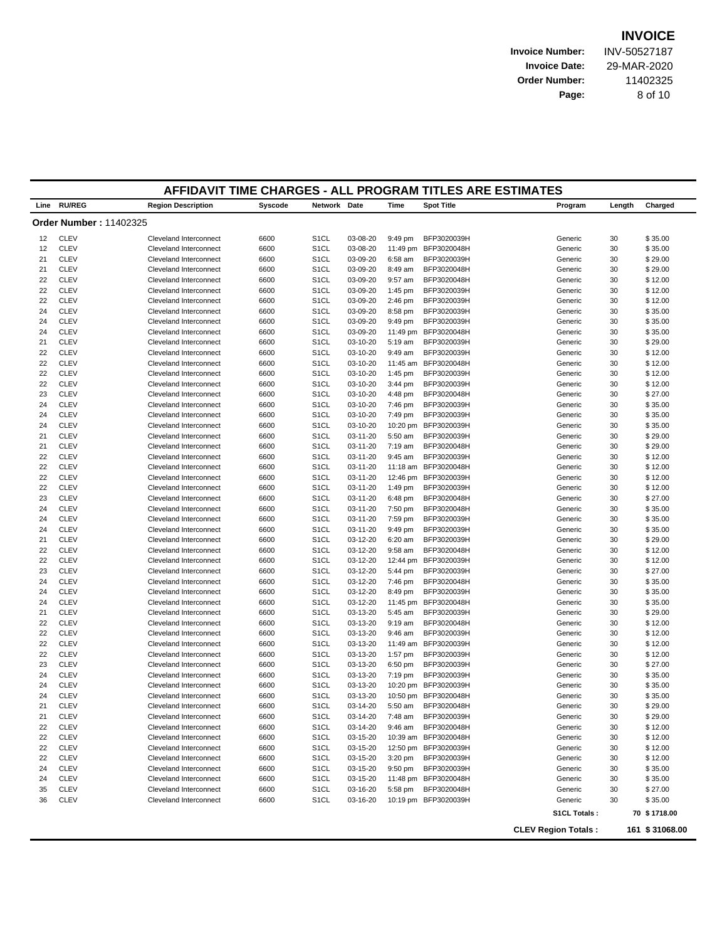**Invoice Number:** INV-50527187 **Invoice Date:** 29-MAR-2020 **Order Number:** 11402325 **Page:** 8 of 10

|      |                               | AFFIDAVIT TIME CHARGES - ALL PROGRAM TITLES ARE ESTIMATES |         |                   |          |           |                      |                            |        |                |
|------|-------------------------------|-----------------------------------------------------------|---------|-------------------|----------|-----------|----------------------|----------------------------|--------|----------------|
| Line | <b>RU/REG</b>                 | <b>Region Description</b>                                 | Syscode | Network Date      |          | Time      | <b>Spot Title</b>    | Program                    | Length | Charged        |
|      | <b>Order Number: 11402325</b> |                                                           |         |                   |          |           |                      |                            |        |                |
| 12   | <b>CLEV</b>                   | Cleveland Interconnect                                    | 6600    | S <sub>1</sub> CL | 03-08-20 | 9:49 pm   | BFP3020039H          | Generic                    | 30     | \$35.00        |
| 12   | <b>CLEV</b>                   | <b>Cleveland Interconnect</b>                             | 6600    | S <sub>1</sub> CL | 03-08-20 | 11:49 pm  | BFP3020048H          | Generic                    | 30     | \$35.00        |
| 21   | <b>CLEV</b>                   | Cleveland Interconnect                                    | 6600    | S <sub>1</sub> CL | 03-09-20 | 6:58 am   | BFP3020039H          | Generic                    | 30     | \$29.00        |
| 21   | <b>CLEV</b>                   | Cleveland Interconnect                                    | 6600    | S <sub>1</sub> CL | 03-09-20 | 8:49 am   | BFP3020048H          | Generic                    | 30     | \$29.00        |
| 22   | <b>CLEV</b>                   | Cleveland Interconnect                                    | 6600    | S <sub>1</sub> CL | 03-09-20 | 9:57 am   | BFP3020048H          | Generic                    | 30     | \$12.00        |
| 22   | <b>CLEV</b>                   | Cleveland Interconnect                                    | 6600    | S <sub>1</sub> CL | 03-09-20 | 1:45 pm   | BFP3020039H          | Generic                    | 30     | \$12.00        |
| 22   | <b>CLEV</b>                   | <b>Cleveland Interconnect</b>                             | 6600    | S <sub>1</sub> CL | 03-09-20 | $2:46$ pm | BFP3020039H          | Generic                    | 30     | \$12.00        |
| 24   | <b>CLEV</b>                   | Cleveland Interconnect                                    | 6600    | S <sub>1</sub> CL | 03-09-20 | 8:58 pm   | BFP3020039H          | Generic                    | 30     | \$35.00        |
| 24   | <b>CLEV</b>                   | Cleveland Interconnect                                    | 6600    | S <sub>1</sub> CL | 03-09-20 | 9:49 pm   | BFP3020039H          | Generic                    | 30     | \$35.00        |
| 24   | <b>CLEV</b>                   | Cleveland Interconnect                                    | 6600    | S <sub>1</sub> CL | 03-09-20 |           | 11:49 pm BFP3020048H | Generic                    | 30     | \$35.00        |
| 21   | <b>CLEV</b>                   | Cleveland Interconnect                                    | 6600    | S <sub>1</sub> CL | 03-10-20 | 5:19 am   | BFP3020039H          | Generic                    | 30     | \$29.00        |
| 22   | <b>CLEV</b>                   | Cleveland Interconnect                                    | 6600    | S <sub>1</sub> CL | 03-10-20 | 9:49 am   | BFP3020039H          | Generic                    | 30     | \$12.00        |
| 22   | <b>CLEV</b>                   | <b>Cleveland Interconnect</b>                             | 6600    | S <sub>1</sub> CL | 03-10-20 | 11:45 am  | BFP3020048H          | Generic                    | 30     | \$12.00        |
| 22   | <b>CLEV</b>                   | Cleveland Interconnect                                    | 6600    | S <sub>1</sub> CL | 03-10-20 | 1:45 pm   | BFP3020039H          | Generic                    | 30     | \$12.00        |
| 22   | <b>CLEV</b>                   | Cleveland Interconnect                                    | 6600    | S <sub>1</sub> CL | 03-10-20 | 3:44 pm   | BFP3020039H          | Generic                    | 30     | \$12.00        |
| 23   | <b>CLEV</b>                   | Cleveland Interconnect                                    | 6600    | S <sub>1</sub> CL | 03-10-20 | 4:48 pm   | BFP3020048H          | Generic                    | 30     | \$27.00        |
| 24   | <b>CLEV</b>                   | Cleveland Interconnect                                    | 6600    | S <sub>1</sub> CL | 03-10-20 | 7:46 pm   | BFP3020039H          | Generic                    | 30     | \$35.00        |
| 24   | <b>CLEV</b>                   | Cleveland Interconnect                                    | 6600    | S <sub>1</sub> CL | 03-10-20 | 7:49 pm   | BFP3020039H          | Generic                    | 30     | \$35.00        |
| 24   | <b>CLEV</b>                   | <b>Cleveland Interconnect</b>                             | 6600    | S <sub>1</sub> CL | 03-10-20 | 10:20 pm  | BFP3020039H          | Generic                    | 30     | \$35.00        |
| 21   | <b>CLEV</b>                   | Cleveland Interconnect                                    | 6600    | S <sub>1</sub> CL | 03-11-20 | 5:50 am   | BFP3020039H          | Generic                    | 30     | \$29.00        |
| 21   | <b>CLEV</b>                   | Cleveland Interconnect                                    | 6600    | S <sub>1</sub> CL | 03-11-20 | $7:19$ am | BFP3020048H          | Generic                    | 30     | \$29.00        |
| 22   | <b>CLEV</b>                   | Cleveland Interconnect                                    | 6600    | S <sub>1</sub> CL | 03-11-20 | 9:45 am   | BFP3020039H          | Generic                    | 30     | \$12.00        |
| 22   | <b>CLEV</b>                   | Cleveland Interconnect                                    | 6600    | S <sub>1</sub> CL | 03-11-20 | 11:18 am  | BFP3020048H          | Generic                    | 30     | \$12.00        |
| 22   | <b>CLEV</b>                   | Cleveland Interconnect                                    | 6600    | S <sub>1</sub> CL | 03-11-20 | 12:46 pm  | BFP3020039H          | Generic                    | 30     | \$12.00        |
| 22   | <b>CLEV</b>                   | <b>Cleveland Interconnect</b>                             | 6600    | S <sub>1</sub> CL | 03-11-20 | 1:49 pm   | BFP3020039H          | Generic                    | 30     | \$12.00        |
| 23   | <b>CLEV</b>                   | Cleveland Interconnect                                    | 6600    | S <sub>1</sub> CL | 03-11-20 | 6:48 pm   | BFP3020048H          | Generic                    | 30     | \$27.00        |
| 24   | <b>CLEV</b>                   | Cleveland Interconnect                                    | 6600    | S <sub>1</sub> CL | 03-11-20 | 7:50 pm   | BFP3020048H          | Generic                    | 30     | \$35.00        |
| 24   | <b>CLEV</b>                   | Cleveland Interconnect                                    | 6600    | S <sub>1</sub> CL | 03-11-20 | 7:59 pm   | BFP3020039H          | Generic                    | 30     | \$35.00        |
| 24   | <b>CLEV</b>                   | Cleveland Interconnect                                    | 6600    | S <sub>1</sub> CL | 03-11-20 | 9:49 pm   | BFP3020039H          | Generic                    | 30     | \$35.00        |
| 21   | <b>CLEV</b>                   | Cleveland Interconnect                                    | 6600    | S <sub>1</sub> CL | 03-12-20 | 6:20 am   | BFP3020039H          | Generic                    | 30     | \$29.00        |
| 22   | <b>CLEV</b>                   | <b>Cleveland Interconnect</b>                             | 6600    | S <sub>1</sub> CL | 03-12-20 | 9:58 am   | BFP3020048H          | Generic                    | 30     | \$12.00        |
| 22   | <b>CLEV</b>                   | Cleveland Interconnect                                    | 6600    | S <sub>1</sub> CL | 03-12-20 | 12:44 pm  | BFP3020039H          | Generic                    | 30     | \$12.00        |
| 23   | <b>CLEV</b>                   | Cleveland Interconnect                                    | 6600    | S <sub>1</sub> CL | 03-12-20 | 5:44 pm   | BFP3020039H          | Generic                    | 30     | \$27.00        |
| 24   | <b>CLEV</b>                   | Cleveland Interconnect                                    | 6600    | S <sub>1</sub> CL | 03-12-20 | 7:46 pm   | BFP3020048H          | Generic                    | 30     | \$35.00        |
| 24   | <b>CLEV</b>                   | Cleveland Interconnect                                    | 6600    | S <sub>1</sub> CL | 03-12-20 | 8:49 pm   | BFP3020039H          | Generic                    | 30     | \$35.00        |
| 24   | <b>CLEV</b>                   | Cleveland Interconnect                                    | 6600    | S <sub>1</sub> CL | 03-12-20 |           | 11:45 pm BFP3020048H | Generic                    | 30     | \$35.00        |
| 21   | <b>CLEV</b>                   | <b>Cleveland Interconnect</b>                             | 6600    | S <sub>1</sub> CL | 03-13-20 | 5:45 am   | BFP3020039H          | Generic                    | 30     | \$29.00        |
| 22   | <b>CLEV</b>                   | Cleveland Interconnect                                    | 6600    | S <sub>1</sub> CL | 03-13-20 | $9:19$ am | BFP3020048H          | Generic                    | 30     | \$12.00        |
| 22   | <b>CLEV</b>                   | <b>Cleveland Interconnect</b>                             | 6600    | S <sub>1</sub> CL | 03-13-20 | $9:46$ am | BFP3020039H          | Generic                    | 30     | \$12.00        |
| 22   | <b>CLEV</b>                   | Cleveland Interconnect                                    | 6600    | S <sub>1</sub> CL | 03-13-20 | 11:49 am  | BFP3020039H          | Generic                    | 30     | \$12.00        |
| 22   | <b>CLEV</b>                   | Cleveland Interconnect                                    | 6600    | S <sub>1</sub> CL | 03-13-20 | 1:57 pm   | BFP3020039H          | Generic                    | 30     | \$12.00        |
| 23   | <b>CLEV</b>                   | Cleveland Interconnect                                    | 6600    | S <sub>1</sub> CL | 03-13-20 | 6:50 pm   | BFP3020039H          | Generic                    | 30     | \$27.00        |
| 24   | <b>CLEV</b>                   | <b>Cleveland Interconnect</b>                             | 6600    | S <sub>1</sub> CL | 03-13-20 | 7:19 pm   | BFP3020039H          | Generic                    | 30     | \$35.00        |
| 24   | <b>CLEV</b>                   | Cleveland Interconnect                                    | 6600    | S <sub>1</sub> CL | 03-13-20 |           | 10:20 pm BFP3020039H | Generic                    | 30     | \$35.00        |
| 24   | <b>CLEV</b>                   | Cleveland Interconnect                                    | 6600    | S <sub>1</sub> CL | 03-13-20 | 10:50 pm  | BFP3020048H          | Generic                    | 30     | \$35.00        |
| 21   | <b>CLEV</b>                   | <b>Cleveland Interconnect</b>                             | 6600    | S <sub>1</sub> CL | 03-14-20 | 5:50 am   | BFP3020048H          | Generic                    | 30     | \$29.00        |
| 21   | <b>CLEV</b>                   | Cleveland Interconnect                                    | 6600    | S <sub>1</sub> CL | 03-14-20 | 7:48 am   | BFP3020039H          | Generic                    | 30     | \$29.00        |
| 22   | <b>CLEV</b>                   | Cleveland Interconnect                                    | 6600    | S <sub>1</sub> CL | 03-14-20 | 9:46 am   | BFP3020048H          | Generic                    | 30     | \$12.00        |
| 22   | <b>CLEV</b>                   | <b>Cleveland Interconnect</b>                             | 6600    | S <sub>1</sub> CL | 03-15-20 |           | 10:39 am BFP3020048H | Generic                    | 30     | \$12.00        |
| 22   | <b>CLEV</b>                   | Cleveland Interconnect                                    | 6600    | S <sub>1</sub> CL | 03-15-20 |           | 12:50 pm BFP3020039H | Generic                    | 30     | \$12.00        |
| 22   | <b>CLEV</b>                   | Cleveland Interconnect                                    | 6600    | S <sub>1</sub> CL | 03-15-20 | $3:20$ pm | BFP3020039H          | Generic                    | 30     | \$12.00        |
| 24   | <b>CLEV</b>                   | Cleveland Interconnect                                    | 6600    | S <sub>1</sub> CL | 03-15-20 | 9:50 pm   | BFP3020039H          | Generic                    | 30     | \$35.00        |
| 24   | <b>CLEV</b>                   | Cleveland Interconnect                                    | 6600    | S <sub>1</sub> CL | 03-15-20 |           | 11:48 pm BFP3020048H | Generic                    | 30     | \$35.00        |
| 35   | <b>CLEV</b>                   | Cleveland Interconnect                                    | 6600    | S <sub>1</sub> CL | 03-16-20 | 5:58 pm   | BFP3020048H          | Generic                    | 30     | \$27.00        |
| 36   | <b>CLEV</b>                   | Cleveland Interconnect                                    | 6600    | S <sub>1</sub> CL | 03-16-20 |           | 10:19 pm BFP3020039H | Generic                    | 30     | \$35.00        |
|      |                               |                                                           |         |                   |          |           |                      | S1CL Totals:               |        | 70 \$1718.00   |
|      |                               |                                                           |         |                   |          |           |                      |                            |        |                |
|      |                               |                                                           |         |                   |          |           |                      | <b>CLEV Region Totals:</b> |        | 161 \$31068.00 |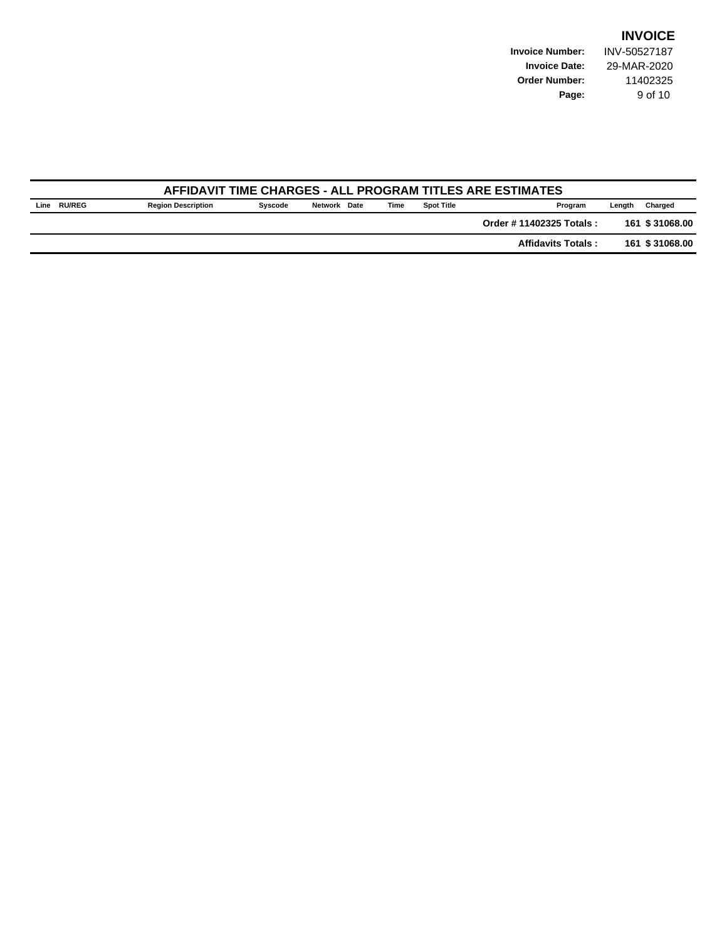**Invoice Number:** INV-50527187 **Invoice Date:** 29-MAR-2020 **Order Number:** 11402325 **Page:** 9 of 10

|      | AFFIDAVIT TIME CHARGES - ALL PROGRAM TITLES ARE ESTIMATES |                           |         |              |      |                   |                           |        |                |  |  |  |
|------|-----------------------------------------------------------|---------------------------|---------|--------------|------|-------------------|---------------------------|--------|----------------|--|--|--|
| Line | <b>RU/REG</b>                                             | <b>Region Description</b> | Syscode | Network Date | Time | <b>Spot Title</b> | Program                   | Lenath | Charged        |  |  |  |
|      |                                                           |                           |         |              |      |                   | Order #11402325 Totals:   |        | 161 \$31068.00 |  |  |  |
|      |                                                           |                           |         |              |      |                   | <b>Affidavits Totals:</b> |        | 161 \$31068.00 |  |  |  |